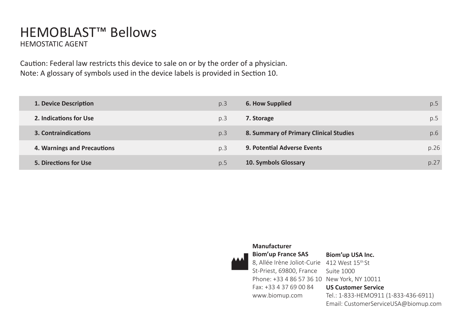## HEMOBLAST™ Bellows HEMOSTATIC AGENT

Caution: Federal law restricts this device to sale on or by the order of a physician. Note: A glossary of symbols used in the device labels is provided in Section 10.

| 1. Device Description       | p.3 | 6. How Supplied                        | p.5  |
|-----------------------------|-----|----------------------------------------|------|
| 2. Indications for Use      | p.3 | 7. Storage                             | p.5  |
| 3. Contraindications        | p.3 | 8. Summary of Primary Clinical Studies | p.6  |
| 4. Warnings and Precautions | p.3 | <b>9. Potential Adverse Events</b>     | p.26 |
| 5. Directions for Use       | p.5 | 10. Symbols Glossary                   | p.27 |



### **Manufacturer**

St-Priest, 69800, France Suite 1000 Phone: +33 4 86 57 36 10 New York, NY 10011 Fax: +33 4 37 69 00 84 www.biomup.com

8, Allée Irène Joliot-Curie 412 West 15th St **US Customer Service** Tel.: 1-833-HEMO911 (1-833-436-6911) Email: CustomerServiceUSA@biomup.com

**Biom'up USA Inc.**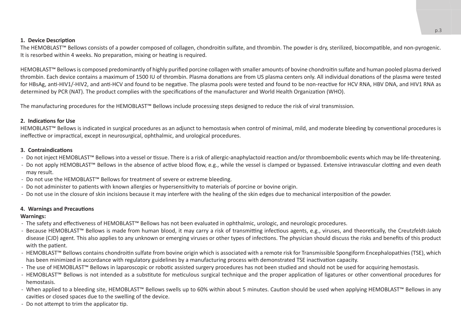#### **1. Device Description**

The HEMOBLAST™ Bellows consists of a powder composed of collagen, chondroitin sulfate, and thrombin. The powder is dry, sterilized, biocompatible, and non-pyrogenic. It is resorbed within 4 weeks. No preparation, mixing or heating is required.

HEMOBLAST™ Bellows is composed predominantly of highly purified porcine collagen with smaller amounts of bovine chondroitin sulfate and human pooled plasma derived thrombin. Each device contains a maximum of 1500 IU of thrombin. Plasma donations are from US plasma centers only. All individual donations of the plasma were tested for HBsAg, anti-HIV1/-HIV2, and anti-HCV and found to be negative. The plasma pools were tested and found to be non-reactive for HCV RNA, HBV DNA, and HIV1 RNA as determined by PCR (NAT). The product complies with the specifications of the manufacturer and World Health Organization (WHO).

The manufacturing procedures for the HEMOBLAST™ Bellows include processing steps designed to reduce the risk of viral transmission.

#### **2. Indications for Use**

HEMOBLAST™ Bellows is indicated in surgical procedures as an adjunct to hemostasis when control of minimal, mild, and moderate bleeding by conventional procedures is ineffective or impractical, except in neurosurgical, ophthalmic, and urological procedures.

#### **3. Contraindications**

- ̵ Do not inject HEMOBLAST™ Bellows into a vessel or tissue. There is a risk of allergic-anaphylactoid reaction and/or thromboembolic events which may be life-threatening.
- ̵ Do not apply HEMOBLAST™ Bellows in the absence of active blood flow, e.g., while the vessel is clamped or bypassed. Extensive intravascular clotting and even death may result.
- ̵ Do not use the HEMOBLAST™ Bellows for treatment of severe or extreme bleeding.
- Do not administer to patients with known allergies or hypersensitivity to materials of porcine or bovine origin.
- Do not use in the closure of skin incisions because it may interfere with the healing of the skin edges due to mechanical interposition of the powder.

#### **4. Warnings and Precautions**

#### **Warnings:**

- ̵ The safety and effectiveness of HEMOBLAST™ Bellows has not been evaluated in ophthalmic, urologic, and neurologic procedures.
- ̵ Because HEMOBLAST™ Bellows is made from human blood, it may carry a risk of transmitting infectious agents, e.g., viruses, and theoretically, the Creutzfeldt-Jakob disease (CJD) agent. This also applies to any unknown or emerging viruses or other types of infections. The physician should discuss the risks and benefits of this product with the patient.
- ̵ HEMOBLAST™ Bellows contains chondroitin sulfate from bovine origin which is associated with a remote risk for Transmissible Spongiform Encephalopathies (TSE), which has been minimized in accordance with regulatory guidelines by a manufacturing process with demonstrated TSE inactivation capacity.
- ̵ The use of HEMOBLAST™ Bellows in laparoscopic or robotic assisted surgery procedures has not been studied and should not be used for acquiring hemostasis.
- ̵ HEMOBLAST™ Bellows is not intended as a substitute for meticulous surgical technique and the proper application of ligatures or other conventional procedures for hemostasis.
- ̵ When applied to a bleeding site, HEMOBLAST™ Bellows swells up to 60% within about 5 minutes. Caution should be used when applying HEMOBLAST™ Bellows in any cavities or closed spaces due to the swelling of the device.
- Do not attempt to trim the applicator tip.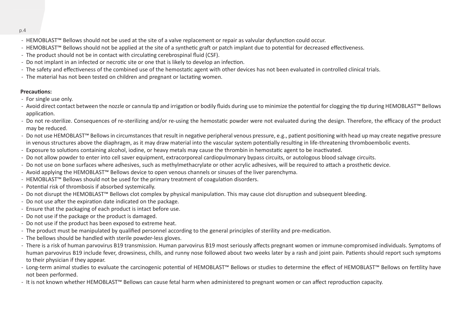- ̵ HEMOBLAST™ Bellows should not be used at the site of a valve replacement or repair as valvular dysfunction could occur.
- ̵ HEMOBLAST™ Bellows should not be applied at the site of a synthetic graft or patch implant due to potential for decreased effectiveness.
- The product should not be in contact with circulating cerebrospinal fluid (CSF).
- Do not implant in an infected or necrotic site or one that is likely to develop an infection.
- The safety and effectiveness of the combined use of the hemostatic agent with other devices has not been evaluated in controlled clinical trials.
- The material has not been tested on children and pregnant or lactating women.

#### **Precautions:**

- For single use only.
- ̵ Avoid direct contact between the nozzle or cannula tip and irrigation or bodily fluids during use to minimize the potential for clogging the tip during HEMOBLAST™ Bellows application.
- Do not re-sterilize. Consequences of re-sterilizing and/or re-using the hemostatic powder were not evaluated during the design. Therefore, the efficacy of the product may be reduced.
- ̵ Do not use HEMOBLAST™ Bellows in circumstances that result in negative peripheral venous pressure, e.g., patient positioning with head up may create negative pressure in venous structures above the diaphragm, as it may draw material into the vascular system potentially resulting in life-threatening thromboembolic events.
- Exposure to solutions containing alcohol, iodine, or heavy metals may cause the thrombin in hemostatic agent to be inactivated.
- Do not allow powder to enter into cell saver equipment, extracorporeal cardiopulmonary bypass circuits, or autologous blood salvage circuits.
- Do not use on bone surfaces where adhesives, such as methylmethacrylate or other acrylic adhesives, will be required to attach a prosthetic device.
- ̵ Avoid applying the HEMOBLAST™ Bellows device to open venous channels or sinuses of the liver parenchyma.
- ̵ HEMOBLAST™ Bellows should not be used for the primary treatment of coagulation disorders.
- Potential risk of thrombosis if absorbed systemically.
- ̵ Do not disrupt the HEMOBLAST™ Bellows clot complex by physical manipulation. This may cause clot disruption and subsequent bleeding.
- Do not use after the expiration date indicated on the package.
- Ensure that the packaging of each product is intact before use.
- Do not use if the package or the product is damaged.
- Do not use if the product has been exposed to extreme heat.
- The product must be manipulated by qualified personnel according to the general principles of sterility and pre-medication.
- The bellows should be handled with sterile powder-less gloves.
- There is a risk of human parvovirus B19 transmission. Human parvovirus B19 most seriously affects pregnant women or immune-compromised individuals. Symptoms of human parvovirus B19 include fever, drowsiness, chills, and runny nose followed about two weeks later by a rash and joint pain. Patients should report such symptoms to their physician if they appear.
- ̵ Long-term animal studies to evaluate the carcinogenic potential of HEMOBLAST™ Bellows or studies to determine the effect of HEMOBLAST™ Bellows on fertility have not been performed.
- ̵ It is not known whether HEMOBLAST™ Bellows can cause fetal harm when administered to pregnant women or can affect reproduction capacity.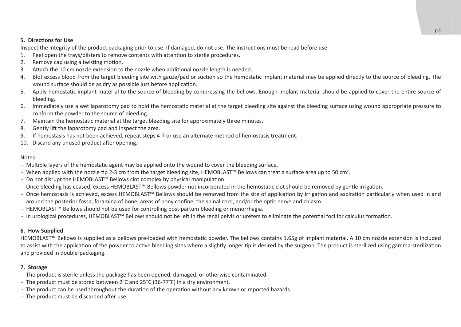#### **5. Directions for Use**

Inspect the integrity of the product packaging prior to use. If damaged, do not use. The instructions must be read before use.

- 1. Peel open the trays/blisters to remove contents with attention to sterile procedures.
- 2. Remove cap using a twisting motion.
- 3. Attach the 10 cm nozzle extension to the nozzle when additional nozzle length is needed.
- 4. Blot excess blood from the target bleeding site with gauze/pad or suction so the hemostatic implant material may be applied directly to the source of bleeding. The wound surface should be as dry as possible just before application.
- 5. Apply hemostatic implant material to the source of bleeding by compressing the bellows. Enough implant material should be applied to cover the entire source of bleeding.
- 6. Immediately use a wet laparotomy pad to hold the hemostatic material at the target bleeding site against the bleeding surface using wound appropriate pressure to conform the powder to the source of bleeding.
- 7. Maintain the hemostatic material at the target bleeding site for approximately three minutes.
- 8. Gently lift the laparotomy pad and inspect the area.
- 9. If hemostasis has not been achieved, repeat steps 4-7 or use an alternate method of hemostasis treatment.
- 10. Discard any unused product after opening.

#### Notes:

- Multiple layers of the hemostatic agent may be applied onto the wound to cover the bleeding surface.
- $\cdot$  When applied with the nozzle tip 2-3 cm from the target bleeding site, HEMOBLAST™ Bellows can treat a surface area up to 50 cm<sup>2</sup>.
- ̵ Do not disrupt the HEMOBLAST™ Bellows clot complex by physical manipulation.
- ̵ Once bleeding has ceased, excess HEMOBLAST™ Bellows powder not incorporated in the hemostatic clot should be removed by gentle irrigation.
- ̵ Once hemostasis is achieved, excess HEMOBLAST™ Bellows should be removed from the site of application by irrigation and aspiration particularly when used in and around the posterior fossa, foramina of bone, areas of bony confine, the spinal cord, and/or the optic nerve and chiasm.
- ̵ HEMOBLAST™ Bellows should not be used for controlling post-partum bleeding or menorrhagia.
- ̵ In urological procedures, HEMOBLAST™ Bellows should not be left in the renal pelvis or ureters to eliminate the potential foci for calculus formation.

#### **6. How Supplied**

HEMOBLAST™ Bellows is supplied as a bellows pre-loaded with hemostatic powder. The bellows contains 1.65g of implant material. A 10 cm nozzle extension is included to assist with the application of the powder to active bleeding sites where a slightly longer tip is desired by the surgeon. The product is sterilized using gamma-sterilization and provided in double-packaging.

#### **7. Storage**

- The product is sterile unless the package has been opened, damaged, or otherwise contaminated.
- The product must be stored between 2°C and 25°C (36-77°F) in a dry environment.
- The product can be used throughout the duration of the operation without any known or reported hazards.
- The product must be discarded after use.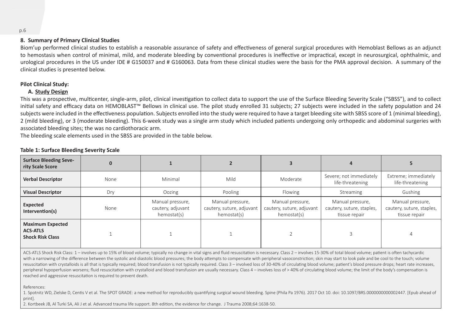#### **8. Summary of Primary Clinical Studies**

Biom'up performed clinical studies to establish a reasonable assurance of safety and effectiveness of general surgical procedures with Hemoblast Bellows as an adjunct to hemostasis when control of minimal, mild, and moderate bleeding by conventional procedures is ineffective or impractical, except in neurosurgical, ophthalmic, and urological procedures in the US under IDE # G150037 and # G160063. Data from these clinical studies were the basis for the PMA approval decision. A summary of the clinical studies is presented below.

#### **Pilot Clinical Study:**

#### **A. Study Design**

This was a prospective, multicenter, single-arm, pilot, clinical investigation to collect data to support the use of the Surface Bleeding Severity Scale ("SBSS"), and to collect initial safety and efficacy data on HEMOBLAST™ Bellows in clinical use. The pilot study enrolled 31 subjects; 27 subjects were included in the safety population and 24 subjects were included in the effectiveness population. Subjects enrolled into the study were required to have a target bleeding site with SBSS score of 1 (minimal bleeding). 2 (mild bleeding), or 3 (moderate bleeding). This 6-week study was a single arm study which included patients undergoing only orthopedic and abdominal surgeries with associated bleeding sites; the was no cardiothoracic arm.

The bleeding scale elements used in the SBSS are provided in the table below.

| <b>Surface Bleeding Seve-</b><br>rity Scale Score                     |      |                                                      |                                                              |                                                              |                                                                |                                                                |
|-----------------------------------------------------------------------|------|------------------------------------------------------|--------------------------------------------------------------|--------------------------------------------------------------|----------------------------------------------------------------|----------------------------------------------------------------|
| <b>Verbal Descriptor</b>                                              | None | Minimal                                              | Mild                                                         | Moderate                                                     | Severe; not immediately<br>life-threatening                    | Extreme; immediately<br>life-threatening                       |
| <b>Visual Descriptor</b>                                              | Dry  | Oozing                                               | Pooling                                                      | Flowing                                                      | Streaming                                                      | Gushing                                                        |
| Expected<br>Intervention(s)                                           | None | Manual pressure,<br>cautery, adjuvant<br>hemostat(s) | Manual pressure,<br>cautery, suture, adjuvant<br>hemostat(s) | Manual pressure,<br>cautery, suture, adjuvant<br>hemostat(s) | Manual pressure,<br>cautery, suture, staples,<br>tissue repair | Manual pressure,<br>cautery, suture, staples,<br>tissue repair |
| <b>Maximum Expected</b><br><b>ACS-ATLS</b><br><b>Shock Risk Class</b> |      |                                                      |                                                              |                                                              |                                                                |                                                                |

#### **Table 1: Surface Bleeding Severity Scale**

ACS-ATLS Shock Risk Class: 1 – involves up to 15% of blood volume; typically no change in vital signs and fluid resuscitation is necessary. Class 2 – involves 15-30% of total blood volume; patient is often tachycardic with a narrowing of the difference between the systolic and diastolic blood pressures; the body attempts to compensate with peripheral vasoconstriction; skin may start to look pale and be cool to the touch; volume resuscitation with crystalloids is all that is typically required; blood transfusion is not typically required. Class 3 - involved loss of 30-40% of circulating blood volume; patient's blood pressure drops; heart rate incr peripheral hypoperfusion worsens; fluid resuscitation with crystalloid and blood transfusion are usually necessary. Class 4 – involves loss of > 40% of circulating blood volume; the limit of the body's compensation is reached and aggressive resuscitation is required to prevent death.

References:

1. Spotnitz WD, Zielske D, Centis V et al. The SPOT GRADE: a new method for reproducibly quantifying surgical wound bleeding. Spine (Phila Pa 1976). 2017 Oct 10. doi: 10.1097/BRS.0000000000002447. [Epub ahead of print].

2. Kortbeek JB, Al Turki SA, Ali J et al. Advanced trauma life support. 8th edition, the evidence for change. J Trauma 2008;64:1638-50.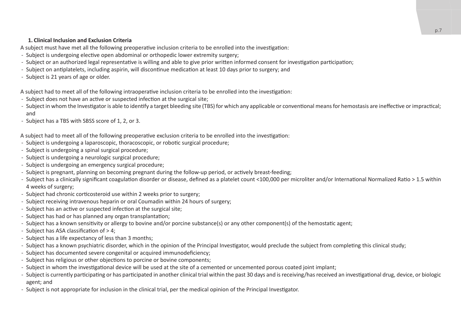#### **1. Clinical Inclusion and Exclusion Criteria**

A subject must have met all the following preoperative inclusion criteria to be enrolled into the investigation:

- Subject is undergoing elective open abdominal or orthopedic lower extremity surgery;
- Subject or an authorized legal representative is willing and able to give prior written informed consent for investigation participation;
- Subject on antiplatelets, including aspirin, will discontinue medication at least 10 days prior to surgery; and
- Subject is 21 years of age or older.

A subject had to meet all of the following intraoperative inclusion criteria to be enrolled into the investigation:

- Subject does not have an active or suspected infection at the surgical site;
- Subject in whom the Investigator is able to identify a target bleeding site (TBS) for which any applicable or conventional means for hemostasis are ineffective or impractical; and
- Subject has a TBS with SBSS score of 1, 2, or 3.

A subject had to meet all of the following preoperative exclusion criteria to be enrolled into the investigation:

- Subject is undergoing a laparoscopic, thoracoscopic, or robotic surgical procedure;
- Subject is undergoing a spinal surgical procedure:
- Subject is undergoing a neurologic surgical procedure;
- Subject is undergoing an emergency surgical procedure;
- Subject is pregnant, planning on becoming pregnant during the follow-up period, or actively breast-feeding;
- Subject has a clinically significant coagulation disorder or disease, defined as a platelet count <100,000 per microliter and/or International Normalized Ratio > 1.5 within 4 weeks of surgery;
- Subject had chronic corticosteroid use within 2 weeks prior to surgery:
- Subject receiving intravenous heparin or oral Coumadin within 24 hours of surgery;
- Subject has an active or suspected infection at the surgical site;
- Subject has had or has planned any organ transplantation;
- Subject has a known sensitivity or allergy to bovine and/or porcine substance(s) or any other component(s) of the hemostatic agent;
- Subject has ASA classification of  $> 4$ ;
- Subject has a life expectancy of less than 3 months:
- Subject has a known psychiatric disorder, which in the opinion of the Principal Investigator, would preclude the subject from completing this clinical study;
- Subject has documented severe congenital or acquired immunodeficiency;
- Subject has religious or other objections to porcine or bovine components;
- Subject in whom the investigational device will be used at the site of a cemented or uncemented porous coated joint implant;
- Subject is currently participating or has participated in another clinical trial within the past 30 days and is receiving/has received an investigational drug, device, or biologic agent; and
- Subject is not appropriate for inclusion in the clinical trial, per the medical opinion of the Principal Investigator.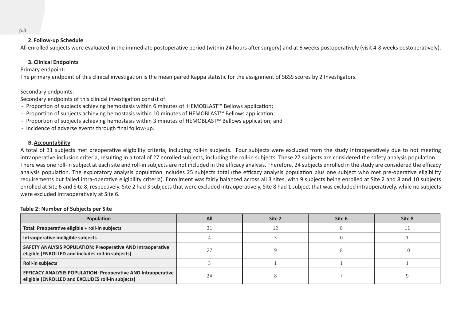#### **2. Follow-up Schedule**

All enrolled subjects were evaluated in the immediate postoperative period (within 24 hours after surgery) and at 6 weeks postoperatively (visit 4-8 weeks postoperatively).

#### **3. Clinical Endpoints**

Primary endpoint:

The primary endpoint of this clinical investigation is the mean paired Kappa statistic for the assignment of SBSS scores by 2 Investigators.

Secondary endpoints:

Secondary endpoints of this clinical investigation consist of:

- ̵ Proportion of subjects achieving hemostasis within 6 minutes of HEMOBLAST™ Bellows application;
- ̵ Proportion of subjects achieving hemostasis within 10 minutes of HEMOBLAST™ Bellows application;
- ̵ Proportion of subjects achieving hemostasis within 3 minutes of HEMOBLAST™ Bellows application; and
- Incidence of adverse events through final follow-up.

#### **B.Accountability**

A total of 31 subjects met preoperative eligibility criteria, including roll-in subjects. Four subjects were excluded from the study intraoperatively due to not meeting intraoperative inclusion criteria, resulting in a total of 27 enrolled subjects, including the roll-in subjects. These 27 subjects are considered the safety analysis population. There was one roll-in subject at each site and roll-in subjects are not included in the efficacy analysis. Therefore, 24 subjects enrolled in the study are considered the efficacy analysis population. The exploratory analysis population includes 25 subjects total (the efficacy analysis population plus one subject who met pre-operative eligibility requirements but failed intra-operative eligibility criteria). Enrollment was fairly balanced across all 3 sites, with 9 subjects being enrolled at Site 2 and 8 and 10 subjects enrolled at Site 6 and Site 8, respectively. Site 2 had 3 subjects that were excluded intraoperatively, Site 8 had 1 subject that was excluded intraoperatively, while no subjects were excluded intraoperatively at Site 6.

#### **Table 2: Number of Subjects per Site**

| Population                                                                                                                | All | Site 2 | Site 6 | Site 8 |
|---------------------------------------------------------------------------------------------------------------------------|-----|--------|--------|--------|
| Total: Preoperative eligible + roll-in subjects                                                                           |     |        |        |        |
| Intraoperative ineligible subjects                                                                                        |     |        |        |        |
| SAFETY ANALYSIS POPULATION: Preoperative AND Intraoperative<br>eligible (ENROLLED and includes roll-in subjects)          |     |        |        | 10     |
| Roll-in subjects                                                                                                          |     |        |        |        |
| <b>EFFICACY ANALYSIS POPULATION: Preoperative AND Intraoperative</b><br>eligible (ENROLLED and EXCLUDES roll-in subjects) |     |        |        |        |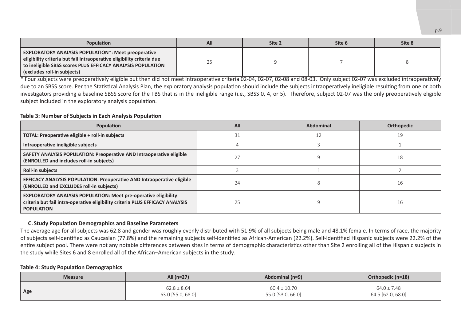| <b>Population</b>                                                                                                                                                                                                                 | All | Site 2 | Site 6 | Site 8 |
|-----------------------------------------------------------------------------------------------------------------------------------------------------------------------------------------------------------------------------------|-----|--------|--------|--------|
| <b>EXPLORATORY ANALYSIS POPULATION*: Meet preoperative</b><br>eligibility criteria but fail intraoperative eligibility criteria due<br>to ineligible SBSS scores PLUS EFFICACY ANALYSIS POPULATION<br>(excludes roll-in subiects) |     |        |        |        |

 $*$  Four subjects were preoperatively eligible but then did not meet intraoperative criteria 02-04, 02-07, 02-08 and 08-03. Only subject 02-07 was excluded intraoperatively due to an SBSS score. Per the Statistical Analysis Plan, the exploratory analysis population should include the subjects intraoperatively ineligible resulting from one or both investigators providing a baseline SBSS score for the TBS that is in the ineligible range (i.e., SBSS 0, 4, or 5). Therefore, subject 02-07 was the only preoperatively eligible subject included in the exploratory analysis population.

#### **Table 3: Number of Subjects in Each Analysis Population**

| Population                                                                                                                                                                   | All | Abdominal | Orthopedic |
|------------------------------------------------------------------------------------------------------------------------------------------------------------------------------|-----|-----------|------------|
| TOTAL: Preoperative eligible + roll-in subjects                                                                                                                              | 31  |           | 19         |
| Intraoperative ineligible subjects                                                                                                                                           |     |           |            |
| SAFETY ANALYSIS POPULATION: Preoperative AND Intraoperative eligible<br>(ENROLLED and includes roll-in subjects)                                                             |     |           | 18         |
| Roll-in subjects                                                                                                                                                             |     |           |            |
| EFFICACY ANALYSIS POPULATION: Preoperative AND Intraoperative eligible<br>(ENROLLED and EXCLUDES roll-in subjects)                                                           | 24  |           | 16         |
| <b>EXPLORATORY ANALYSIS POPULATION: Meet pre-operative eligibility</b><br>criteria but fail intra-operative eligibility criteria PLUS EFFICACY ANALYSIS<br><b>POPULATION</b> | 25  |           | 16         |

#### **C. Study Population Demographics and Baseline Parameters**

The average age for all subjects was 62.8 and gender was roughly evenly distributed with 51.9% of all subjects being male and 48.1% female. In terms of race, the majority of subjects self-identified as Caucasian (77.8%) and the remaining subjects self-identified as African-American (22.2%). Self-identified Hispanic subjects were 22.2% of the entire subject pool. There were not any notable differences between sites in terms of demographic characteristics other than Site 2 enrolling all of the Hispanic subjects in the study while Sites 6 and 8 enrolled all of the African–American subjects in the study.

#### **Table 4: Study Population Demographics**

| <b>Measure</b> | All (n=27)        | Abdominal (n=9)   | Orthopedic (n=18) |  |
|----------------|-------------------|-------------------|-------------------|--|
| Age            | $62.8 \pm 8.64$   | $60.4 \pm 10.70$  | $64.0 \pm 7.48$   |  |
|                | 63.0 [55.0, 68.0] | 55.0 [53.0, 66.0] | 64.5 [62.0, 68.0] |  |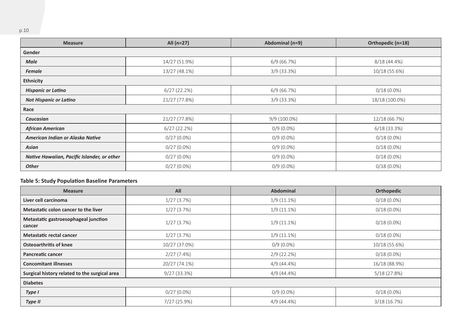| <b>Measure</b>                              | All (n=27)    | Abdominal (n=9) | Orthopedic (n=18) |
|---------------------------------------------|---------------|-----------------|-------------------|
| Gender                                      |               |                 |                   |
| Male                                        | 14/27 (51.9%) | 6/9(66.7%)      | $8/18(44.4\%)$    |
| <b>Female</b>                               | 13/27 (48.1%) | $3/9(33.3\%)$   | 10/18 (55.6%)     |
| Ethnicity                                   |               |                 |                   |
| <b>Hispanic or Latino</b>                   | 6/27(22.2%)   | 6/9(66.7%)      | $0/18(0.0\%)$     |
| <b>Not Hispanic or Latino</b>               | 21/27 (77.8%) | $3/9(33.3\%)$   | 18/18 (100.0%)    |
| Race                                        |               |                 |                   |
| Caucasian                                   | 21/27 (77.8%) | $9/9(100.0\%)$  | 12/18 (66.7%)     |
| <b>African American</b>                     | 6/27(22.2%)   | $0/9(0.0\%)$    | 6/18(33.3%)       |
| American Indian or Alaska Native            | $0/27(0.0\%)$ | $0/9(0.0\%)$    | $0/18(0.0\%)$     |
| Asian                                       | $0/27(0.0\%)$ | $0/9(0.0\%)$    | $0/18(0.0\%)$     |
| Native Hawaiian, Pacific Islander, or other | $0/27(0.0\%)$ | $0/9(0.0\%)$    | $0/18(0.0\%)$     |
| <b>Other</b>                                | $0/27(0.0\%)$ | $0/9(0.0\%)$    | $0/18(0.0\%)$     |

#### **Table 5: Study Population Baseline Parameters**

| <b>Measure</b>                                 | All           | <b>Abdominal</b> | Orthopedic    |
|------------------------------------------------|---------------|------------------|---------------|
| Liver cell carcinoma                           | 1/27(3.7%)    | $1/9(11.1\%)$    | $0/18(0.0\%)$ |
| Metastatic colon cancer to the liver           | 1/27(3.7%)    | $1/9(11.1\%)$    | $0/18(0.0\%)$ |
| Metastatic gastroesophageal junction<br>cancer | 1/27(3.7%)    | $1/9(11.1\%)$    | $0/18(0.0\%)$ |
| Metastatic rectal cancer                       | 1/27(3.7%)    | $1/9(11.1\%)$    | $0/18(0.0\%)$ |
| Osteoarthritis of knee                         | 10/27 (37.0%) | $0/9(0.0\%)$     | 10/18 (55.6%) |
| Pancreatic cancer                              | 2/27(7.4%)    | $2/9(22.2\%)$    | $0/18(0.0\%)$ |
| <b>Concomitant illnesses</b>                   | 20/27 (74.1%) | $4/9(44.4\%)$    | 16/18 (88.9%) |
| Surgical history related to the surgical area  | 9/27(33.3%)   | 4/9 (44.4%)      | 5/18(27.8%)   |
| <b>Diabetes</b>                                |               |                  |               |
| Type I                                         | $0/27(0.0\%)$ | $0/9(0.0\%)$     | $0/18(0.0\%)$ |
| Type II                                        | 7/27 (25.9%)  | $4/9(44.4\%)$    | 3/18(16.7%)   |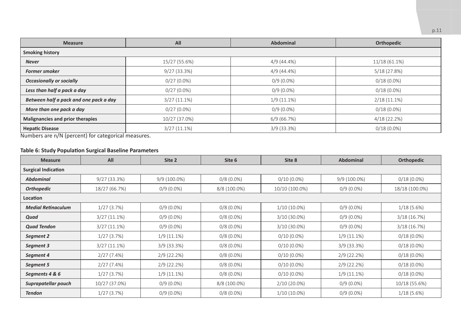| <b>Measure</b>                                                                         | All<br><b>Abdominal</b> |               | Orthopedic      |
|----------------------------------------------------------------------------------------|-------------------------|---------------|-----------------|
| <b>Smoking history</b>                                                                 |                         |               |                 |
| <b>Never</b>                                                                           | 15/27 (55.6%)           | $4/9(44.4\%)$ | $11/18(61.1\%)$ |
| <b>Former smoker</b>                                                                   | 9/27(33.3%)             | $4/9(44.4\%)$ | 5/18(27.8%)     |
| <b>Occasionally or socially</b>                                                        | $0/27(0.0\%)$           | $0/9(0.0\%)$  | $0/18(0.0\%)$   |
| Less than half a pack a day                                                            | $0/27(0.0\%)$           | $0/9(0.0\%)$  | $0/18(0.0\%)$   |
| Between half a pack and one pack a day                                                 | $3/27(11.1\%)$          | $1/9(11.1\%)$ | $2/18(11.1\%)$  |
| More than one pack a day                                                               | $0/27(0.0\%)$           | $0/9(0.0\%)$  | $0/18(0.0\%)$   |
| Malignancies and prior therapies                                                       | 10/27 (37.0%)           | 6/9(66.7%)    | 4/18(22.2%)     |
| <b>Hepatic Disease</b><br>$\sqrt{2}$<br>$\cdot$ $\cdot$<br>$\cdots$<br>$\cdot$ $\cdot$ | $3/27(11.1\%)$          | $3/9$ (33.3%) | $0/18(0.0\%)$   |

Numbers are n/N (percent) for categorical measures.

### **Table 6: Study Population Surgical Baseline Parameters**

| <b>Measure</b>             | All            | Site 2        | Site 6       | Site 8         | Abdominal      | Orthopedic     |
|----------------------------|----------------|---------------|--------------|----------------|----------------|----------------|
| <b>Surgical Indication</b> |                |               |              |                |                |                |
| <b>Abdominal</b>           | 9/27(33.3%)    | 9/9 (100.0%)  | $0/8(0.0\%)$ | $0/10(0.0\%)$  | $9/9(100.0\%)$ | $0/18(0.0\%)$  |
| <b>Orthopedic</b>          | 18/27 (66.7%)  | $0/9(0.0\%)$  | 8/8 (100.0%) | 10/10 (100.0%) | $0/9(0.0\%)$   | 18/18 (100.0%) |
| Location                   |                |               |              |                |                |                |
| <b>Medial Retinaculum</b>  | 1/27(3.7%)     | $0/9(0.0\%)$  | $0/8(0.0\%)$ | $1/10(10.0\%)$ | $0/9(0.0\%)$   | $1/18(5.6\%)$  |
| Quad                       | $3/27(11.1\%)$ | $0/9(0.0\%)$  | $0/8(0.0\%)$ | $3/10(30.0\%)$ | $0/9(0.0\%)$   | 3/18(16.7%)    |
| <b>Quad Tendon</b>         | $3/27(11.1\%)$ | $0/9(0.0\%)$  | $0/8(0.0\%)$ | $3/10(30.0\%)$ | $0/9(0.0\%)$   | 3/18(16.7%)    |
| Segment 2                  | 1/27(3.7%)     | $1/9(11.1\%)$ | $0/8(0.0\%)$ | $0/10(0.0\%)$  | $1/9(11.1\%)$  | $0/18(0.0\%)$  |
| Segment 3                  | $3/27(11.1\%)$ | $3/9$ (33.3%) | $0/8(0.0\%)$ | $0/10(0.0\%)$  | $3/9$ (33.3%)  | $0/18(0.0\%)$  |
| Segment 4                  | 2/27(7.4%)     | $2/9(22.2\%)$ | $0/8(0.0\%)$ | $0/10(0.0\%)$  | 2/9(22.2%)     | $0/18(0.0\%)$  |
| Segment 5                  | 2/27(7.4%)     | $2/9(22.2\%)$ | $0/8(0.0\%)$ | $0/10(0.0\%)$  | $2/9(22.2\%)$  | $0/18(0.0\%)$  |
| Segments 4 & 6             | 1/27(3.7%)     | $1/9(11.1\%)$ | $0/8(0.0\%)$ | $0/10(0.0\%)$  | $1/9(11.1\%)$  | $0/18(0.0\%)$  |
| Suprapatellar pouch        | 10/27 (37.0%)  | $0/9(0.0\%)$  | 8/8 (100.0%) | $2/10(20.0\%)$ | $0/9(0.0\%)$   | 10/18 (55.6%)  |
| <b>Tendon</b>              | 1/27(3.7%)     | $0/9(0.0\%)$  | $0/8(0.0\%)$ | $1/10(10.0\%)$ | $0/9(0.0\%)$   | $1/18(5.6\%)$  |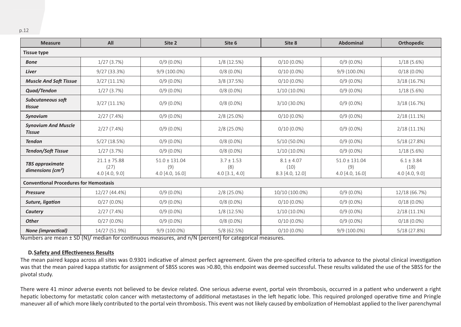| <b>Measure</b>                                          | All                                        | Site 2                                      | Site 6                                    | Site 8                                    | Abdominal                                   | Orthopedic                                 |
|---------------------------------------------------------|--------------------------------------------|---------------------------------------------|-------------------------------------------|-------------------------------------------|---------------------------------------------|--------------------------------------------|
| <b>Tissue type</b>                                      |                                            |                                             |                                           |                                           |                                             |                                            |
| <b>Bone</b>                                             | 1/27(3.7%)                                 | $0/9(0.0\%)$                                | 1/8(12.5%)                                | $0/10(0.0\%)$                             | $0/9(0.0\%)$                                | 1/18(5.6%)                                 |
| Liver                                                   | 9/27(33.3%)                                | 9/9 (100.0%)                                | $0/8(0.0\%)$                              | $0/10(0.0\%)$                             | 9/9 (100.0%)                                | $0/18(0.0\%)$                              |
| <b>Muscle And Soft Tissue</b>                           | $3/27(11.1\%)$                             | $0/9(0.0\%)$                                | $3/8$ (37.5%)                             | $0/10(0.0\%)$                             | $0/9(0.0\%)$                                | 3/18(16.7%)                                |
| Quad/Tendon                                             | 1/27(3.7%)                                 | $0/9(0.0\%)$                                | $0/8(0.0\%)$                              | $1/10(10.0\%)$                            | $0/9(0.0\%)$                                | 1/18(5.6%)                                 |
| Subcutaneous soft<br>tissue                             | $3/27(11.1\%)$                             | $0/9(0.0\%)$                                | $0/8(0.0\%)$                              | $3/10(30.0\%)$                            | $0/9(0.0\%)$                                | 3/18(16.7%)                                |
| Synovium                                                | 2/27(7.4%)                                 | $0/9(0.0\%)$                                | $2/8$ (25.0%)                             | $0/10(0.0\%)$                             | $0/9(0.0\%)$                                | $2/18(11.1\%)$                             |
| <b>Synovium And Muscle</b><br>Tissue                    | 2/27(7.4%)                                 | $0/9(0.0\%)$                                | $2/8$ (25.0%)                             | $0/10(0.0\%)$                             | $0/9(0.0\%)$                                | $2/18(11.1\%)$                             |
| <b>Tendon</b>                                           | 5/27(18.5%)                                | $0/9(0.0\%)$                                | $0/8(0.0\%)$                              | 5/10 (50.0%)                              | $0/9(0.0\%)$                                | 5/18(27.8%)                                |
| <b>Tendon/Soft Tissue</b>                               | 1/27(3.7%)                                 | $0/9(0.0\%)$                                | $0/8(0.0\%)$                              | $1/10(10.0\%)$                            | $0/9(0.0\%)$                                | 1/18(5.6%)                                 |
| <b>TBS</b> approximate<br>dimensions (cm <sup>2</sup> ) | $21.1 \pm 75.88$<br>(27)<br>4.0 [4.0, 9.0] | $51.0 \pm 131.04$<br>(9)<br>4.0 [4.0, 16.0] | $3.7 \pm 1.53$<br>(8)<br>$4.0$ [3.1, 4.0] | $8.1 \pm 4.07$<br>(10)<br>8.3 [4.0, 12.0] | $51.0 \pm 131.04$<br>(9)<br>4.0 [4.0, 16.0] | $6.1 \pm 3.84$<br>(18)<br>$4.0$ [4.0, 9.0] |
| <b>Conventional Procedures for Hemostasis</b>           |                                            |                                             |                                           |                                           |                                             |                                            |
| <b>Pressure</b>                                         | 12/27 (44.4%)                              | $0/9(0.0\%)$                                | 2/8 (25.0%)                               | 10/10 (100.0%)                            | $0/9(0.0\%)$                                | 12/18 (66.7%)                              |
| Suture, ligation                                        | $0/27(0.0\%)$                              | $0/9(0.0\%)$                                | $0/8(0.0\%)$                              | $0/10(0.0\%)$                             | $0/9(0.0\%)$                                | $0/18(0.0\%)$                              |
| Cautery                                                 | 2/27(7.4%)                                 | $0/9(0.0\%)$                                | 1/8(12.5%)                                | $1/10(10.0\%)$                            | $0/9(0.0\%)$                                | $2/18(11.1\%)$                             |
| <b>Other</b>                                            | $0/27(0.0\%)$                              | $0/9(0.0\%)$                                | $0/8(0.0\%)$                              | $0/10(0.0\%)$                             | $0/9(0.0\%)$                                | $0/18(0.0\%)$                              |
| <b>None (impractical)</b>                               | 14/27 (51.9%)                              | 9/9 (100.0%)                                | 5/8(62.5%)                                | $0/10(0.0\%)$                             | 9/9 (100.0%)                                | 5/18(27.8%)                                |

Numbers are mean ± SD (N)/ median for continuous measures, and n/N (percent) for categorical measures.

#### **D.Safety and Effectiveness Results**

The mean paired kappa across all sites was 0.9301 indicative of almost perfect agreement. Given the pre-specified criteria to advance to the pivotal clinical investigation was that the mean paired kappa statistic for assignment of SBSS scores was >0.80, this endpoint was deemed successful. These results validated the use of the SBSS for the pivotal study.

There were 41 minor adverse events not believed to be device related. One serious adverse event, portal vein thrombosis, occurred in a patient who underwent a right hepatic lobectomy for metastatic colon cancer with metastectomy of additional metastases in the left hepatic lobe. This required prolonged operative time and Pringle maneuver all of which more likely contributed to the portal vein thrombosis. This event was not likely caused by embolization of Hemoblast applied to the liver parenchymal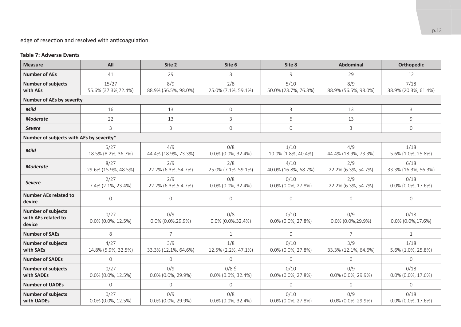edge of resection and resolved with anticoagulation.

#### **Table 7: Adverse Events**

| <b>Measure</b>                                             | All                           | Site 2                       | Site 6                       | Site 8                        | Abdominal                   | <b>Orthopedic</b>             |
|------------------------------------------------------------|-------------------------------|------------------------------|------------------------------|-------------------------------|-----------------------------|-------------------------------|
| <b>Number of AEs</b>                                       | 41                            | 29                           | 3                            | 9                             | 29                          | 12                            |
| <b>Number of subjects</b><br>with AEs                      | 15/27<br>55.6% (37.3%, 72.4%) | 8/9<br>88.9% (56.5%, 98.0%)  | 2/8<br>25.0% (7.1%, 59.1%)   | 5/10<br>50.0% (23.7%, 76.3%)  | 8/9<br>88.9% (56.5%, 98.0%) | 7/18<br>38.9% (20.3%, 61.4%)  |
| <b>Number of AEs by severity</b>                           |                               |                              |                              |                               |                             |                               |
| Mild                                                       | 16                            | 13                           | $\mathbf{0}$                 | 3                             | 13                          | 3                             |
| <b>Moderate</b>                                            | 22                            | 13                           | 3                            | 6                             | 13                          | 9                             |
| <b>Severe</b>                                              | 3                             | 3                            | $\circ$                      | 0                             | 3                           | $\circ$                       |
| Number of subjects with AEs by severity*                   |                               |                              |                              |                               |                             |                               |
| Mild                                                       | 5/27<br>18.5% (8.2%, 36.7%)   | 4/9<br>44.4% (18.9%, 73.3%)  | 0/8<br>0.0% (0.0%, 32.4%)    | 1/10<br>10.0% (1.8%, 40.4%)   | 4/9<br>44.4% (18.9%, 73.3%) | 1/18<br>5.6% (1.0%, 25.8%)    |
| <b>Moderate</b>                                            | 8/27<br>29.6% (15.9%, 48.5%)  | 2/9<br>22.2% (6.3%, 54.7%)   | 2/8<br>25.0% (7.1%, 59.1%)   | 4/10<br>40.0% (16.8%, 68.7%)  | 2/9<br>22.2% (6.3%, 54.7%)  | 6/18<br>33.3% (16.3%, 56.3%)  |
| <b>Severe</b>                                              | 2/27<br>7.4% (2.1%, 23.4%)    | 2/9<br>22.2% (6.3%, 54.7%)   | 0/8<br>$0.0\%$ (0.0%, 32.4%) | 0/10<br>0.0% (0.0%, 27.8%)    | 2/9<br>22.2% (6.3%, 54.7%)  | 0/18<br>0.0% (0.0%, 17.6%)    |
| <b>Number AEs related to</b><br>device                     | 0                             | $\mathbf{0}$                 | $\Omega$                     | $\mathbf{O}$                  | $\Omega$                    | $\mathbf{0}$                  |
| <b>Number of subjects</b><br>with AEs related to<br>device | 0/27<br>$0.0\%$ (0.0%, 12.5%) | 0/9<br>0.0% (0.0%, 29.9%)    | 0/8<br>$0.0\%$ (0.0%, 32.4%) | 0/10<br>0.0% (0.0%, 27.8%)    | 0/9<br>0.0% (0.0%, 29.9%)   | 0/18<br>$0.0\%$ (0.0%, 17.6%) |
| <b>Number of SAEs</b>                                      | 8                             | $\overline{7}$               | $\mathbf{1}$                 | $\circ$                       | 7                           | $\mathbf{1}$                  |
| <b>Number of subjects</b><br>with SAEs                     | 4/27<br>14.8% (5.9%, 32.5%)   | 3/9<br>33.3% (12.1%, 64.6%)  | 1/8<br>12.5% (2.2%, 47.1%)   | 0/10<br>$0.0\%$ (0.0%, 27.8%) | 3/9<br>33.3% (12.1%, 64.6%) | 1/18<br>5.6% (1.0%, 25.8%)    |
| <b>Number of SADEs</b>                                     | $\Omega$                      | $\Omega$                     | $\Omega$                     | $\Omega$                      | $\Omega$                    | $\Omega$                      |
| <b>Number of subjects</b><br>with SADEs                    | 0/27<br>0.0% (0.0%, 12.5%)    | O/9<br>0.0% (0.0%, 29.9%)    | 0/85<br>0.0% (0.0%, 32.4%)   | 0/10<br>0.0% (0.0%, 27.8%)    | 0/9<br>0.0% (0.0%, 29.9%)   | 0/18<br>0.0% (0.0%, 17.6%)    |
| <b>Number of UADEs</b>                                     | $\Omega$                      | $\Omega$                     | $\Omega$                     | $\Omega$                      | $\Omega$                    | $\Omega$                      |
| <b>Number of subjects</b><br>with UADEs                    | 0/27<br>$0.0\%$ (0.0%, 12.5%) | 0/9<br>$0.0\%$ (0.0%, 29.9%) | 0/8<br>0.0% (0.0%, 32.4%)    | 0/10<br>0.0% (0.0%, 27.8%)    | 0/9<br>0.0% (0.0%, 29.9%)   | 0/18<br>0.0% (0.0%, 17.6%)    |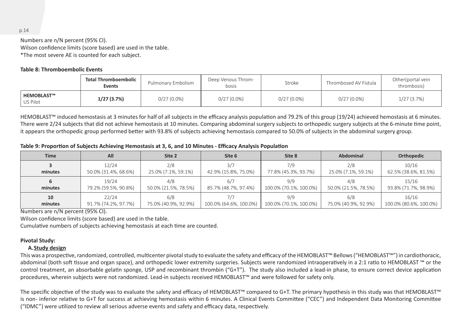Numbers are n/N percent (95% CI). Wilson confidence limits (score based) are used in the table. \*The most severe AE is counted for each subject.

#### **Table 8: Thromboembolic Events**

|                               | Total Thromboembolic<br>Events | Pulmonary Embolism | Deep Venous Throm-<br>bosis | Stroke        | Thrombosed AV Fistula | Other(portal vein<br>thrombosis) |
|-------------------------------|--------------------------------|--------------------|-----------------------------|---------------|-----------------------|----------------------------------|
| <b>HEMOBLAST™</b><br>US Pilot | 1/27(3.7%)                     | $0/27(0.0\%)$      | $0/27(0.0\%)$               | $0/27(0.0\%)$ | $0/27(0.0\%)$         | 1/27(3.7%)                       |

HEMOBLAST™ induced hemostasis at 3 minutes for half of all subjects in the efficacy analysis population and 79.2% of this group (19/24) achieved hemostasis at 6 minutes. There were 2/24 subjects that did not achieve hemostasis at 10 minutes. Comparing abdominal surgery subjects to orthopedic surgery subjects at the 6-minute time point, it appears the orthopedic group performed better with 93.8% of subjects achieving hemostasis compared to 50.0% of subjects in the abdominal surgery group.

#### **Table 9: Proportion of Subjects Achieving Hemostasis at 3, 6, and 10 Minutes - Efficacy Analysis Population**

| <b>Time</b> | All                  | Site 2               | Site 6                 | Site 8                 | Abdominal            | Orthopedic             |
|-------------|----------------------|----------------------|------------------------|------------------------|----------------------|------------------------|
| minutes     | 12/24                | 2/8                  | 3/7                    | 7/9                    | 2/8                  | 10/16                  |
|             | 50.0% (31.4%, 68.6%) | 25.0% (7.1%, 59.1%)  | 42.9% (15.8%, 75.0%)   | 77.8% (45.3%, 93.7%)   | 25.0% (7.1%, 59.1%)  | 62.5% (38.6%, 81.5%)   |
| minutes     | 19/24                | 4/8                  | 6/7                    | 9/9                    | 4/8                  | 15/16                  |
|             | 79.2% (59.5%, 90.8%) | 50.0% (21.5%, 78.5%) | 85.7% (48.7%, 97.4%)   | 100.0% (70.1%, 100.0%) | 50.0% (21.5%, 78.5%) | 93.8% (71.7%, 98.9%)   |
| 10          | 22/24                | 6/8                  | 7/7                    | 9/9                    | 6/8                  | 16/16                  |
| minutes     | 91.7% (74.2%, 97.7%) | 75.0% (40.9%, 92.9%) | 100.0% (64.6%, 100.0%) | 100.0% (70.1%, 100.0%) | 75.0% (40.9%, 92.9%) | 100.0% (80.6%, 100.0%) |

Numbers are n/N percent (95% CI).

Wilson confidence limits (score based) are used in the table.

Cumulative numbers of subjects achieving hemostasis at each time are counted.

#### **Pivotal Study:**

#### **A.Study design**

This was a prospective, randomized, controlled, multicenter pivotal study to evaluate the safety and efficacy of the HEMOBLAST™ Bellows ("HEMOBLAST™") in cardiothoracic, abdominal (both soft tissue and organ space), and orthopedic lower extremity surgeries. Subjects were randomized intraoperatively in a 2:1 ratio to HEMOBLAST ™ or the control treatment, an absorbable gelatin sponge, USP and recombinant thrombin ("G+T"). The study also included a lead-in phase, to ensure correct device application procedures, wherein subjects were not randomized. Lead-in subjects received HEMOBLAST™ and were followed for safety only.

The specific objective of the study was to evaluate the safety and efficacy of HEMOBLAST™ compared to G+T. The primary hypothesis in this study was that HEMOBLAST™ is non- inferior relative to G+T for success at achieving hemostasis within 6 minutes. A Clinical Events Committee ("CEC") and Independent Data Monitoring Committee ("IDMC") were utilized to review all serious adverse events and safety and efficacy data, respectively.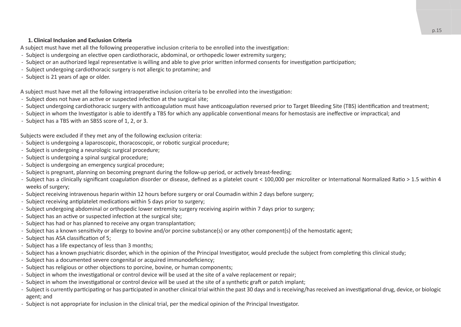#### **1. Clinical Inclusion and Exclusion Criteria**

A subject must have met all the following preoperative inclusion criteria to be enrolled into the investigation:

- Subject is undergoing an elective open cardiothoracic, abdominal, or orthopedic lower extremity surgery;
- Subject or an authorized legal representative is willing and able to give prior written informed consents for investigation participation;
- Subject undergoing cardiothoracic surgery is not allergic to protamine; and
- Subject is 21 years of age or older.

A subject must have met all the following intraoperative inclusion criteria to be enrolled into the investigation:

- Subject does not have an active or suspected infection at the surgical site;
- Subject undergoing cardiothoracic surgery with anticoagulation must have anticoagulation reversed prior to Target Bleeding Site (TBS) identification and treatment;
- ̵ Subject in whom the Investigator is able to identify a TBS for which any applicable conventional means for hemostasis are ineffective or impractical; and
- Subject has a TBS with an SBSS score of 1, 2, or 3.

Subjects were excluded if they met any of the following exclusion criteria:

- Subject is undergoing a laparoscopic, thoracoscopic, or robotic surgical procedure;
- Subject is undergoing a neurologic surgical procedure:
- Subject is undergoing a spinal surgical procedure;
- Subject is undergoing an emergency surgical procedure;
- Subject is pregnant, planning on becoming pregnant during the follow-up period, or actively breast-feeding;
- Subject has a clinically significant coagulation disorder or disease, defined as a platelet count < 100,000 per microliter or International Normalized Ratio > 1.5 within 4 weeks of surgery;
- Subject receiving intravenous heparin within 12 hours before surgery or oral Coumadin within 2 days before surgery;
- Subject receiving antiplatelet medications within 5 days prior to surgery;
- Subject undergoing abdominal or orthopedic lower extremity surgery receiving aspirin within 7 days prior to surgery;
- Subject has an active or suspected infection at the surgical site;
- Subject has had or has planned to receive any organ transplantation:
- Subject has a known sensitivity or allergy to bovine and/or porcine substance(s) or any other component(s) of the hemostatic agent;
- Subject has ASA classification of 5:
- Subject has a life expectancy of less than 3 months;
- Subject has a known psychiatric disorder, which in the opinion of the Principal Investigator, would preclude the subject from completing this clinical study;
- Subject has a documented severe congenital or acquired immunodeficiency;
- Subject has religious or other objections to porcine, bovine, or human components;
- Subject in whom the investigational or control device will be used at the site of a valve replacement or repair;
- Subiect in whom the investigational or control device will be used at the site of a synthetic graft or patch implant;
- Subject is currently participating or has participated in another clinical trial within the past 30 days and is receiving/has received an investigational drug, device, or biologic agent; and
- Subject is not appropriate for inclusion in the clinical trial, per the medical opinion of the Principal Investigator.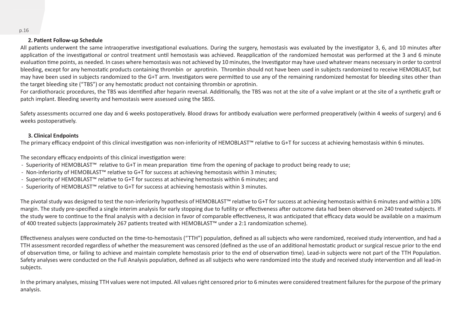#### **2. Patient Follow-up Schedule**

All patients underwent the same intraoperative investigational evaluations. During the surgery, hemostasis was evaluated by the investigator 3, 6, and 10 minutes after application of the investigational or control treatment until hemostasis was achieved. Reapplication of the randomized hemostat was performed at the 3 and 6 minute evaluation time points, as needed. In cases where hemostasis was not achieved by 10 minutes, the Investigator may have used whatever means necessary in order to control bleeding, except for any hemostatic products containing thrombin or aprotinin. Thrombin should not have been used in subjects randomized to receive HEMOBLAST, but may have been used in subjects randomized to the G+T arm. Investigators were permitted to use any of the remaining randomized hemostat for bleeding sites other than the target bleeding site ("TBS") or any hemostatic product not containing thrombin or aprotinin.

For cardiothoracic procedures, the TBS was identified after heparin reversal. Additionally, the TBS was not at the site of a valve implant or at the site of a synthetic graft or patch implant. Bleeding severity and hemostasis were assessed using the SBSS.

Safety assessments occurred one day and 6 weeks postoperatively. Blood draws for antibody evaluation were performed preoperatively (within 4 weeks of surgery) and 6 weeks postoperatively.

#### **3. Clinical Endpoints**

The primary efficacy endpoint of this clinical investigation was non-inferiority of HEMOBLAST™ relative to G+T for success at achieving hemostasis within 6 minutes.

The secondary efficacy endpoints of this clinical investigation were:

- ̵ Superiority of HEMOBLAST™ relative to G+T in mean preparation time from the opening of package to product being ready to use;
- ̵ Non-inferiority of HEMOBLAST™ relative to G+T for success at achieving hemostasis within 3 minutes;
- ̵ Superiority of HEMOBLAST™ relative to G+T for success at achieving hemostasis within 6 minutes; and
- ̵ Superiority of HEMOBLAST™ relative to G+T for success at achieving hemostasis within 3 minutes.

The pivotal study was designed to test the non-inferiority hypothesis of HEMOBLAST™ relative to G+T for success at achieving hemostasis within 6 minutes and within a 10% margin. The study pre-specified a single interim analysis for early stopping due to futility or effectiveness after outcome data had been observed on 240 treated subjects. If the study were to continue to the final analysis with a decision in favor of comparable effectiveness, it was anticipated that efficacy data would be available on a maximum of 400 treated subjects (approximately 267 patients treated with HEMOBLAST™ under a 2:1 randomization scheme).

Effectiveness analyses were conducted on the time-to-hemostasis ("TTH") population, defined as all subjects who were randomized, received study intervention, and had a TTH assessment recorded regardless of whether the measurement was censored (defined as the use of an additional hemostatic product or surgical rescue prior to the end of observation time, or failing to achieve and maintain complete hemostasis prior to the end of observation time). Lead-in subjects were not part of the TTH Population. Safety analyses were conducted on the Full Analysis population, defined as all subjects who were randomized into the study and received study intervention and all lead-in subjects.

In the primary analyses, missing TTH values were not imputed. All values right censored prior to 6 minutes were considered treatment failures for the purpose of the primary analysis.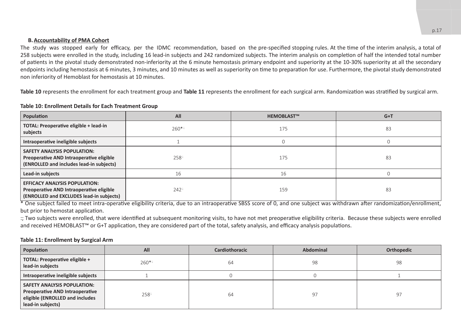#### **B.Accountability of PMA Cohort**

The study was stopped early for efficacy, per the IDMC recommendation, based on the pre-specified stopping rules. At the time of the interim analysis, a total of 258 subjects were enrolled in the study, including 16 lead-in subjects and 242 randomized subjects. The interim analysis on completion of half the intended total number of patients in the pivotal study demonstrated non-inferiority at the 6 minute hemostasis primary endpoint and superiority at the 10-30% superiority at all the secondary endpoints including hemostasis at 6 minutes, 3 minutes, and 10 minutes as well as superiority on time to preparation for use. Furthermore, the pivotal study demonstrated non inferiority of Hemoblast for hemostasis at 10 minutes.

**Table 10** represents the enrollment for each treatment group and **Table 11** represents the enrollment for each surgical arm. Randomization was stratified by surgical arm.

#### **Table 10: Enrollment Details for Each Treatment Group**

| Population                                                                                                                   | All     | <b>HEMOBLAST™</b> | $G+T$ |
|------------------------------------------------------------------------------------------------------------------------------|---------|-------------------|-------|
| TOTAL: Preoperative eligible + lead-in<br>subjects                                                                           | $260**$ | 175               | 83    |
| Intraoperative ineligible subjects                                                                                           |         |                   |       |
| <b>SAFETY ANALYSIS POPULATION:</b><br>Preoperative AND Intraoperative eligible<br>(ENROLLED and includes lead-in subjects)   | 258     | 175               | 83    |
| Lead-in subjects                                                                                                             | 16      | 16                |       |
| <b>EFFICACY ANALYSIS POPULATION:</b><br>Preoperative AND Intraoperative eligible<br>(ENROLLED and EXCLUDES lead-in subjects) | 242     | 159               | 83    |

<sup>\*</sup> One subject failed to meet intra-operative eligibility criteria, due to an intraoperative SBSS score of 0, and one subject was withdrawn after randomization/enrollment, but prior to hemostat application.

:; Two subjects were enrolled, that were identified at subsequent monitoring visits, to have not met preoperative eligibility criteria. Because these subjects were enrolled and received HEMOBLAST™ or G+T application, they are considered part of the total, safety analysis, and efficacy analysis populations.

#### **Table 11: Enrollment by Surgical Arm**

| Population                                                                                                                    | All     | Cardiothoracic | Abdominal | Orthopedic |
|-------------------------------------------------------------------------------------------------------------------------------|---------|----------------|-----------|------------|
| TOTAL: Preoperative eligible +<br>lead-in subjects                                                                            | $260**$ | 64             | 98        | 98         |
| Intraoperative ineligible subjects                                                                                            |         |                |           |            |
| <b>SAFETY ANALYSIS POPULATION:</b><br>Preoperative AND Intraoperative<br>eligible (ENROLLED and includes<br>lead-in subjects) | 258     | 64             | 97        | 97         |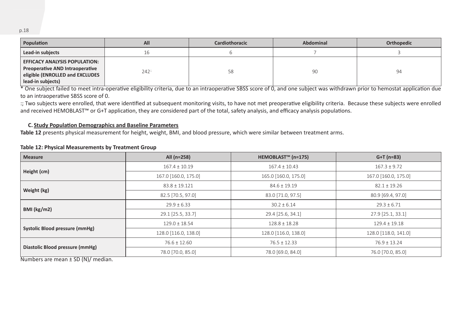| Population                                                                                                                      | All | Cardiothoracic | <b>Abdominal</b> | Orthopedic |
|---------------------------------------------------------------------------------------------------------------------------------|-----|----------------|------------------|------------|
| Lead-in subjects                                                                                                                | TP. |                |                  |            |
| <b>EFFICACY ANALYSIS POPULATION:</b><br>Preoperative AND Intraoperative<br>eligible (ENROLLED and EXCLUDES<br>lead-in subjects) | 242 | 58             | 90               | 94         |

<sup>\*</sup> One subject failed to meet intra-operative eligibility criteria, due to an intraoperative SBSS score of 0, and one subject was withdrawn prior to hemostat application due to an intraoperative SBSS score of 0.

:; Two subjects were enrolled, that were identified at subsequent monitoring visits, to have not met preoperative eligibility criteria. Because these subjects were enrolled and received HEMOBLAST™ or G+T application, they are considered part of the total, safety analysis, and efficacy analysis populations.

#### **C. Study Population Demographics and Baseline Parameters**

**Table 12** presents physical measurement for height, weight, BMI, and blood pressure, which were similar between treatment arms.

#### **Table 12: Physical Measurements by Treatment Group**

| <b>Measure</b>                       | All (n=258)          | HEMOBLAST <sup>™</sup> (n=175) | $G+T(n=83)$          |
|--------------------------------------|----------------------|--------------------------------|----------------------|
| Height (cm)                          | $167.4 \pm 10.19$    | $167.4 \pm 10.43$              | $167.3 \pm 9.72$     |
|                                      | 167.0 [160.0, 175.0] | 165.0 [160.0, 175.0]           | 167.0 [160.0, 175.0] |
|                                      | $83.8 \pm 19.121$    | $84.6 \pm 19.19$               | $82.1 \pm 19.26$     |
| Weight (kg)                          | 82.5 [70.5, 97.0]    | 83.0 [71.0, 97.5]              | 80.9 [69.4, 97.0]    |
|                                      | $29.9 \pm 6.33$      | $30.2 \pm 6.14$                | $29.3 \pm 6.71$      |
| BMI (kg/m2)                          | 29.1 [25.5, 33.7]    | 29.4 [25.6, 34.1]              | 27.9 [25.1, 33.1]    |
|                                      | $129.0 \pm 18.54$    | $128.8 \pm 18.28$              | $129.4 \pm 19.18$    |
| Systolic Blood pressure (mmHg)       | 128.0 [116.0, 138.0] | 128.0 [116.0, 138.0]           | 128.0 [118.0, 141.0] |
|                                      | $76.6 \pm 12.60$     | $76.5 \pm 12.33$               | $76.9 \pm 13.24$     |
| Diastolic Blood pressure (mmHg)<br>. | 78.0 [70.0, 85.0]    | 78.0 [69.0, 84.0]              | 76.0 [70.0, 85.0]    |

Numbers are mean ± SD (N)/ median.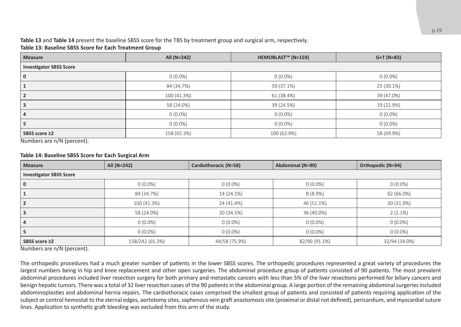### **Table 13** and **Table 14** present the baseline SBSS score for the TBS by treatment group and surgical arm, respectively.

#### **Table 13: Baseline SBSS Score for Each Treatment Group**

| <b>Measure</b>                                                           | All (N=242) | HEMOBLAST <sup>™</sup> (N=159) | $G+T (N=83)$ |  |  |  |
|--------------------------------------------------------------------------|-------------|--------------------------------|--------------|--|--|--|
| <b>Investigator SBSS Score</b>                                           |             |                                |              |  |  |  |
| υ                                                                        | $0(0.0\%)$  | $0(0.0\%)$                     | $0(0.0\%)$   |  |  |  |
|                                                                          | 84 (34.7%)  | 59 (37.1%)                     | 25 (30.1%)   |  |  |  |
|                                                                          | 100 (41.3%) | 61 (38.4%)                     | 39 (47.0%)   |  |  |  |
|                                                                          | 58 (24.0%)  | 39 (24.5%)                     | 19 (22.9%)   |  |  |  |
|                                                                          | $0(0.0\%)$  | $0(0.0\%)$                     | $0(0.0\%)$   |  |  |  |
|                                                                          | $0(0.0\%)$  | $0(0.0\%)$                     | $0(0.0\%)$   |  |  |  |
| SBSS score ≥2<br>$\sim$ $\sim$ $\sim$ $\sim$ $\sim$ $\sim$ $\sim$ $\sim$ | 158 (65.3%) | 100 (62.9%)                    | 58 (69.9%)   |  |  |  |

Numbers are n/N (percent).

#### **Table 14: Baseline SBSS Score for Each Surgical Arm**

| <b>Measure</b>                 | All (N=242)     | Cardiothoracic (N=58) | Abdominal (N=90) | Orthopedic (N=94) |  |  |  |
|--------------------------------|-----------------|-----------------------|------------------|-------------------|--|--|--|
| <b>Investigator SBSS Score</b> |                 |                       |                  |                   |  |  |  |
|                                | $0(0.0\%)$      | $0(0.0\%)$            | $0(0.0\%)$       | $0(0.0\%)$        |  |  |  |
|                                | 84 (34.7%)      | 14 (24.1%)            | $8(8.9\%)$       | 62 (66.0%)        |  |  |  |
|                                | 100 (41.3%)     | 24 (41.4%)            | 46 (51.1%)       | 30 (31.9%)        |  |  |  |
|                                | 58 (24.0%)      | 20 (34.5%)            | 36 (40.0%)       | $2(2.1\%)$        |  |  |  |
|                                | $0(0.0\%)$      | $0(0.0\%)$            | $0(0.0\%)$       | $0(0.0\%)$        |  |  |  |
|                                | $0(0.0\%)$      | $0(0.0\%)$            | $0(0.0\%)$       | $0(0.0\%)$        |  |  |  |
| SBSS score ≥2                  | 158/242 (65.3%) | 44/58 (75.9%)         | 82/90 (91.1%)    | 32/94 (34.0%)     |  |  |  |

Numbers are n/N (percent).

The orthopedic procedures had a much greater number of patients in the lower SBSS scores. The orthopedic procedures represented a great variety of procedures the largest numbers being in hip and knee replacement and other open surgeries. The abdominal procedure group of patients consisted of 90 patients. The most prevalent abdominal procedures included liver resection surgery for both primary and metastatic cancers with less than 5% of the liver resections performed for biliary cancers and benign hepatic tumors. There was a total of 32 liver resection cases of the 90 patients in the abdominal group. A large portion of the remaining abdominal surgeries included abdominoplasties and abdominal hernia repairs. The cardiothoracic cases comprised the smallest group of patients and consisted of patients requiring application of the subject or control hemostat to the sternal edges, aortotomy sites, saphenous vein graft anastomosis site (proximal or distal not defined), pericardium, and myocardial suture lines. Application to synthetic graft bleeding was excluded from this arm of the study.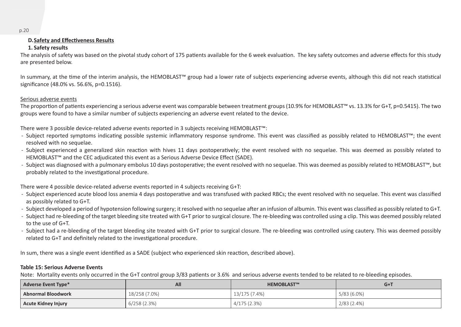#### **D.Safety and Effectiveness Results**

#### **1. Safety results**

The analysis of safety was based on the pivotal study cohort of 175 patients available for the 6 week evaluation. The key safety outcomes and adverse effects for this study are presented below.

In summary, at the time of the interim analysis, the HEMOBLAST™ group had a lower rate of subjects experiencing adverse events, although this did not reach statistical significance (48.0% vs. 56.6%, p=0.1516).

#### Serious adverse events

The proportion of patients experiencing a serious adverse event was comparable between treatment groups (10.9% for HEMOBLAST™ vs. 13.3% for G+T, p=0.5415). The two groups were found to have a similar number of subjects experiencing an adverse event related to the device.

There were 3 possible device-related adverse events reported in 3 subjects receiving HEMOBLAST™:

- ̵ Subject reported symptoms indicating possible systemic inflammatory response syndrome. This event was classified as possibly related to HEMOBLAST™; the event resolved with no sequelae.
- Subject experienced a generalized skin reaction with hives 11 days postoperatively; the event resolved with no sequelae. This was deemed as possibly related to HEMOBLAST™ and the CEC adjudicated this event as a Serious Adverse Device Effect (SADE).
- ̵ Subject was diagnosed with a pulmonary embolus 10 days postoperative; the event resolved with no sequelae. This was deemed as possibly related to HEMOBLAST™, but probably related to the investigational procedure.

There were 4 possible device-related adverse events reported in 4 subjects receiving G+T:

- Subject experienced acute blood loss anemia 4 days postoperative and was transfused with packed RBCs; the event resolved with no sequelae. This event was classified as possibly related to G+T.
- Subject developed a period of hypotension following surgery; it resolved with no sequelae after an infusion of albumin. This event was classified as possibly related to G+T.
- Subject had re-bleeding of the target bleeding site treated with G+T prior to surgical closure. The re-bleeding was controlled using a clip. This was deemed possibly related to the use of G+T.
- Subject had a re-bleeding of the target bleeding site treated with G+T prior to surgical closure. The re-bleeding was controlled using cautery. This was deemed possibly related to G+T and definitely related to the investigational procedure.

In sum, there was a single event identified as a SADE (subject who experienced skin reaction, described above).

#### **Table 15: Serious Adverse Events**

Note: Mortality events only occurred in the G+T control group 3/83 patients or 3.6% and serious adverse events tended to be related to re-bleeding episodes.

| <b>Adverse Event Type*</b> | All           | <b>HEMOBLAST™</b> | $G+T$         |
|----------------------------|---------------|-------------------|---------------|
| <b>Abnormal Bloodwork</b>  | 18/258 (7.0%) | 13/175 (7.4%)     | $5/83(6.0\%)$ |
| <b>Acute Kidney Injury</b> | 6/258(2.3%)   | 4/175 (2.3%)      | 2/83(2.4%)    |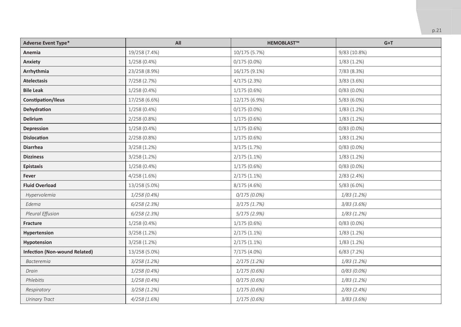| <b>Adverse Event Type*</b>           | All            | <b>HEMOBLAST™</b> | $G+T$           |
|--------------------------------------|----------------|-------------------|-----------------|
| Anemia                               | 19/258 (7.4%)  | 10/175 (5.7%)     | 9/83 (10.8%)    |
| Anxiety                              | $1/258(0.4\%)$ | $0/175(0.0\%)$    | 1/83(1.2%)      |
| Arrhythmia                           | 23/258 (8.9%)  | 16/175 (9.1%)     | 7/83 (8.3%)     |
| <b>Atelectasis</b>                   | 7/258 (2.7%)   | 4/175(2.3%)       | $3/83$ (3.6%)   |
| <b>Bile Leak</b>                     | $1/258(0.4\%)$ | $1/175(0.6\%)$    | $0/83(0.0\%)$   |
| Constipation/Ileus                   | 17/258 (6.6%)  | 12/175 (6.9%)     | $5/83(6.0\%)$   |
| Dehydration                          | $1/258(0.4\%)$ | $0/175(0.0\%)$    | $1/83(1.2\%)$   |
| Delirium                             | 2/258 (0.8%)   | $1/175(0.6\%)$    | $1/83(1.2\%)$   |
| Depression                           | $1/258(0.4\%)$ | $1/175(0.6\%)$    | $0/83(0.0\%)$   |
| <b>Dislocation</b>                   | $2/258(0.8\%)$ | $1/175(0.6\%)$    | $1/83(1.2\%)$   |
| <b>Diarrhea</b>                      | 3/258(1.2%)    | 3/175(1.7%)       | $0/83(0.0\%)$   |
| <b>Dizziness</b>                     | 3/258(1.2%)    | $2/175(1.1\%)$    | 1/83(1.2%)      |
| <b>Epistaxis</b>                     | $1/258(0.4\%)$ | $1/175(0.6\%)$    | $0/83(0.0\%)$   |
| Fever                                | 4/258(1.6%)    | $2/175(1.1\%)$    | $2/83$ (2.4%)   |
| <b>Fluid Overload</b>                | 13/258 (5.0%)  | 8/175 (4.6%)      | $5/83(6.0\%)$   |
| Hypervolemia                         | 1/258(0.4%)    | $0/175(0.0\%)$    | $1/83(1.2\%)$   |
| Edema                                | $6/258$ (2.3%) | 3/175(1.7%)       | $3/83$ (3.6%)   |
| Pleural Effusion                     | $6/258$ (2.3%) | $5/175$ (2.9%)    | $1/83$ $(1.2%)$ |
| Fracture                             | $1/258(0.4\%)$ | $1/175(0.6\%)$    | $0/83(0.0\%)$   |
| Hypertension                         | 3/258 (1.2%)   | $2/175(1.1\%)$    | 1/83(1.2%)      |
| Hypotension                          | 3/258(1.2%)    | $2/175(1.1\%)$    | 1/83(1.2%)      |
| <b>Infection (Non-wound Related)</b> | 13/258 (5.0%)  | 7/175 (4.0%)      | 6/83(7.2%)      |
| <b>Bacteremia</b>                    | 3/258(1.2%)    | 2/175(1.2%)       | $1/83$ $(1.2%)$ |
| Drain                                | 1/258(0.4%)    | 1/175(0.6%)       | $0/83(0.0\%)$   |
| Phlebitis                            | 1/258(0.4%)    | 0/175(0.6%)       | $1/83$ $(1.2%)$ |
| Respiratory                          | 3/258(1.2%)    | 1/175(0.6%)       | $2/83$ $(2.4%)$ |
| <b>Urinary Tract</b>                 | 4/258(1.6%)    | 1/175(0.6%)       | $3/83$ (3.6%)   |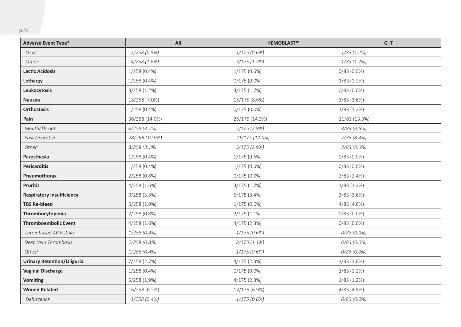| <b>Adverse Event Type*</b>        | All            | <b>HEMOBLAST™</b> | $G+T$         |
|-----------------------------------|----------------|-------------------|---------------|
| Yeast                             | 2/258 (0.8%)   | 1/175(0.6%)       | 1/83(1.2%)    |
| Other <sup>1</sup>                | 4/258(1.6%)    | $3/175$ $(1.7%)$  | 1/83(1.2%)    |
| <b>Lactic Acidosis</b>            | $1/258(0.4\%)$ | 1/175(0.6%)       | $0/83(0.0\%)$ |
| Lethargy                          | $1/258(0.4\%)$ | $0/175(0.0\%)$    | 1/83(1.2%)    |
| Leukocytosis                      | 3/258(1.2%)    | 3/175 (1.7%)      | $0/83(0.0\%)$ |
| Nausea                            | 18/258 (7.0%)  | 15/175 (8.6%)     | $3/83$ (3.6%) |
| Orthostasis                       | $1/258(0.4\%)$ | $0/175(0.0\%)$    | $1/83(1.2\%)$ |
| Pain                              | 36/258 (14.0%) | 25/175 (14.3%)    | 11/83 (13.3%) |
| Mouth/Throat                      | $8/258(3.1\%)$ | $5/175$ (2.9%)    | $3/83$ (3.6%) |
| Post-Operative                    | 28/258 (10.9%) | 21/175 (12.0%)    | 7/83 (8.4%)   |
| Other <sup>2</sup>                | 8/258 (3.1%)   | 5/175 (2.9%)      | $3/83$ (3.6%) |
| Paresthesia                       | $1/258(0.4\%)$ | $1/175(0.6\%)$    | $0/83(0.0\%)$ |
| Pericarditis                      | $1/258(0.4\%)$ | 1/175(0.6%)       | $0/83(0.0\%)$ |
| Pneumothorax                      | 2/258 (0.8%)   | $0/175(0.0\%)$    | $2/83$ (2.4%) |
| <b>Pruritis</b>                   | 4/258(1.6%)    | 3/175(1.7%)       | $1/83(1.2\%)$ |
| <b>Respiratory Insufficiency</b>  | 9/258(3.5%)    | 6/175(3.4%)       | $3/83$ (3.6%) |
| <b>TBS Re-bleed</b>               | 5/258(1.9%)    | $1/175(0.6\%)$    | 4/83(4.8%)    |
| Thrombocytopenia                  | $2/258(0.8\%)$ | $2/175(1.1\%)$    | $0/83(0.0\%)$ |
| <b>Thromboembolic Event</b>       | 4/258(1.6%)    | 4/175(2.3%)       | $0/83(0.0\%)$ |
| Thrombosed AV Fistula             | 1/258(0.4%)    | 1/175(0.6%)       | $0/83(0.0\%)$ |
| Deep Vein Thrombosis              | 2/258(0.8%)    | $2/175(1.1\%)$    | $0/83(0.0\%)$ |
| Other <sup>3</sup>                | 1/258(0.4%)    | 1/175(0.6%)       | $0/83(0.0\%)$ |
| <b>Urinary Retention/Oliguria</b> | 7/258 (2.7%)   | 4/175(2.3%)       | 3/83(3.6%)    |
| <b>Vaginal Discharge</b>          | $1/258(0.4\%)$ | $0/175(0.0\%)$    | 1/83(1.2%)    |
| <b>Vomiting</b>                   | 5/258(1.9%)    | 4/175(2.3%)       | $1/83(1.2\%)$ |
| <b>Wound Related</b>              | 16/258 (6.2%)  | 12/175 (6.9%)     | 4/83(4.8%)    |
| Dehiscence                        | 1/258 (0.4%)   | 1/175(0.6%)       | $0/83(0.0\%)$ |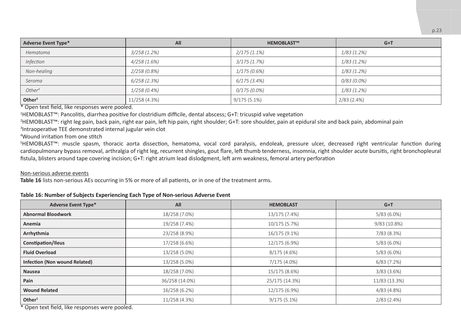| <b>Adverse Event Type*</b> | All            | <b>HEMOBLAST™</b> | $G+T$         |
|----------------------------|----------------|-------------------|---------------|
| Hematoma                   | 3/258(1.2%)    | $2/175(1.1\%)$    | $1/83(1.2\%)$ |
| Infection                  | 4/258(1.6%)    | $3/175$ (1.7%)    | $1/83(1.2\%)$ |
| Non-healing                | 2/258(0.8%)    | 1/175(0.6%)       | $1/83$ (1.2%) |
| Seroma                     | $6/258$ (2.3%) | $6/175$ $(3.4\%)$ | 0/83 (0.0%)   |
| Other <sup>4</sup>         | $1/258(0.4\%)$ | $0/175(0.0\%)$    | $1/83(1.2\%)$ |
| Other <sup>5</sup>         | 11/258 (4.3%)  | $9/175(5.1\%)$    | 2/83(2.4%)    |

\* Open text field, like responses were pooled.

1 HEMOBLAST™: Pancolitis, diarrhea positive for clostridium difficile, dental abscess; G+T: tricuspid valve vegetation

2 HEMOBLAST™: right leg pain, back pain, right ear pain, left hip pain, right shoulder; G+T: sore shoulder, pain at epidural site and back pain, abdominal pain

3 Intraoperative TEE demonstrated internal jugular vein clot

4 Wound irritation from one stitch

5 HEMOBLAST™: muscle spasm, thoracic aorta dissection, hematoma, vocal cord paralysis, endoleak, pressure ulcer, decreased right ventricular function during cardiopulmonary bypass removal, arthralgia of right leg, recurrent shingles, gout flare, left thumb tenderness, insomnia, right shoulder acute bursitis, right bronchopleural fistula, blisters around tape covering incision; G+T: right atrium lead dislodgment, left arm weakness, femoral artery perforation

#### Non-serious adverse events

**Table 16** lists non-serious AEs occurring in 5% or more of all patients, or in one of the treatment arms.

#### **Table 16: Number of Subjects Experiencing Each Type of Non-serious Adverse Event**

| <b>Adverse Event Type*</b>                                          | All            | <b>HEMOBLAST</b> | $G+T$         |
|---------------------------------------------------------------------|----------------|------------------|---------------|
| <b>Abnormal Bloodwork</b>                                           | 18/258 (7.0%)  | 13/175 (7.4%)    | $5/83(6.0\%)$ |
| Anemia                                                              | 19/258 (7.4%)  | 10/175 (5.7%)    | 9/83 (10.8%)  |
| Arrhythmia                                                          | 23/258 (8.9%)  | 16/175 (9.1%)    | 7/83 (8.3%)   |
| Constipation/Ileus                                                  | 17/258 (6.6%)  | 12/175 (6.9%)    | $5/83(6.0\%)$ |
| <b>Fluid Overload</b>                                               | 13/258 (5.0%)  | 8/175(4.6%)      | $5/83(6.0\%)$ |
| Infection (Non wound Related)                                       | 13/258 (5.0%)  | 7/175 (4.0%)     | 6/83(7.2%)    |
| <b>Nausea</b>                                                       | 18/258 (7.0%)  | 15/175 (8.6%)    | $3/83$ (3.6%) |
| Pain                                                                | 36/258 (14.0%) | 25/175 (14.3%)   | 11/83 (13.3%) |
| <b>Wound Related</b>                                                | 16/258 (6.2%)  | 12/175 (6.9%)    | 4/83(4.8%)    |
| Other <sup>1</sup><br>* Onen teut field. Hin nenennenn under nealed | 11/258 (4.3%)  | $9/175(5.1\%)$   | $2/83$ (2.4%) |

\* Open text field, like responses were pooled.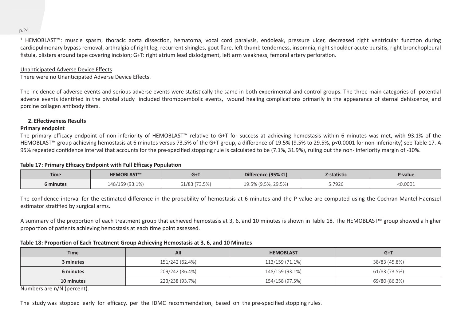1 HEMOBLAST™: muscle spasm, thoracic aorta dissection, hematoma, vocal cord paralysis, endoleak, pressure ulcer, decreased right ventricular function during cardiopulmonary bypass removal, arthralgia of right leg, recurrent shingles, gout flare, left thumb tenderness, insomnia, right shoulder acute bursitis, right bronchopleural fistula, blisters around tape covering incision; G+T: right atrium lead dislodgment, left arm weakness, femoral artery perforation.

#### Unanticipated Adverse Device Effects

There were no Unanticipated Adverse Device Effects.

The incidence of adverse events and serious adverse events were statistically the same in both experimental and control groups. The three main categories of potential adverse events identified in the pivotal study included thromboembolic events, wound healing complications primarily in the appearance of sternal dehiscence, and porcine collagen antibody titers.

#### **2. Effectiveness Results**

#### **Primary endpoint**

The primary efficacy endpoint of non-inferiority of HEMOBLAST™ relative to G+T for success at achieving hemostasis within 6 minutes was met, with 93.1% of the HEMOBLAST™ group achieving hemostasis at 6 minutes versus 73.5% of the G+T group, a difference of 19.5% (9.5% to 29.5%, p<0.0001 for non-inferiority) see Table 17. A 95% repeated confidence interval that accounts for the pre-specified stopping rule is calculated to be (7.1%, 31.9%), ruling out the non- inferiority margin of -10%.

#### **Table 17: Primary Efficacy Endpoint with Full Efficacy Population**

| <b>Time</b> | <b>HEMOBLAST™</b> | $G+1$        | Difference (95% CI) | Z-statistic | P-value |
|-------------|-------------------|--------------|---------------------|-------------|---------|
| 6 minutes   | 148/159 (93.1%)   | 1/83 (73.5%) | 19.5% (9.5%, 29.5%) | 5.7926      | 0.0001  |

The confidence interval for the estimated difference in the probability of hemostasis at 6 minutes and the P value are computed using the Cochran-Mantel-Haenszel estimator stratified by surgical arms.

A summary of the proportion of each treatment group that achieved hemostasis at 3, 6, and 10 minutes is shown in Table 18. The HEMOBLAST™ group showed a higher proportion of patients achieving hemostasis at each time point assessed.

#### **Table 18: Proportion of Each Treatment Group Achieving Hemostasis at 3, 6, and 10 Minutes**

| <b>Time</b> | All             | <b>HEMOBLAST</b> | $G+T$         |
|-------------|-----------------|------------------|---------------|
| 3 minutes   | 151/242 (62.4%) | 113/159 (71.1%)  | 38/83 (45.8%) |
| 6 minutes   | 209/242 (86.4%) | 148/159 (93.1%)  | 61/83 (73.5%) |
| 10 minutes  | 223/238 (93.7%) | 154/158 (97.5%)  | 69/80 (86.3%) |

Numbers are n/N (percent).

The study was stopped early for efficacy, per the IDMC recommendation, based on the pre-specified stopping rules.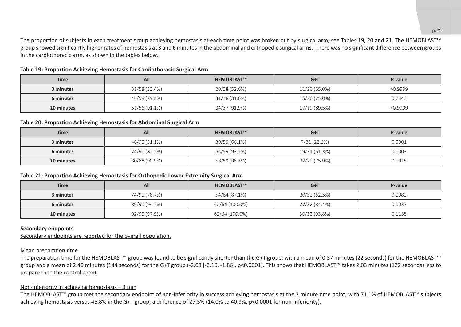The proportion of subjects in each treatment group achieving hemostasis at each time point was broken out by surgical arm, see Tables 19, 20 and 21. The HEMOBLAST™ group showed significantly higher rates of hemostasis at 3 and 6 minutes in the abdominal and orthopedic surgical arms. There was no significant difference between groups in the cardiothoracic arm, as shown in the tables below.

**Table 19: Proportion Achieving Hemostasis for Cardiothoracic Surgical Arm**

| <b>Time</b> | All           | <b>HEMOBLAST™</b> | $G+T$         | P-value |
|-------------|---------------|-------------------|---------------|---------|
| 3 minutes   | 31/58 (53.4%) | 20/38 (52.6%)     | 11/20 (55.0%) | >0.9999 |
| 6 minutes   | 46/58 (79.3%) | 31/38 (81.6%)     | 15/20 (75.0%) | 0.7343  |
| 10 minutes  | 51/56 (91.1%) | 34/37 (91.9%)     | 17/19 (89.5%) | >0.9999 |

#### **Table 20: Proportion Achieving Hemostasis for Abdominal Surgical Arm**

| <b>Time</b> | All           | <b>HEMOBLAST™</b> | $G+T$         | P-value |
|-------------|---------------|-------------------|---------------|---------|
| 3 minutes   | 46/90 (51.1%) | 39/59 (66.1%)     | 7/31 (22.6%)  | 0.0001  |
| 6 minutes   | 74/90 (82.2%) | 55/59 (93.2%)     | 19/31 (61.3%) | 0.0003  |
| 10 minutes  | 80/88 (90.9%) | 58/59 (98.3%)     | 22/29 (75.9%) | 0.0015  |

#### **Table 21: Proportion Achieving Hemostasis for Orthopedic Lower Extremity Surgical Arm**

| <b>Time</b> | All           | <b>HEMOBLAST™</b> | $G+1$         | P-value |
|-------------|---------------|-------------------|---------------|---------|
| 3 minutes   | 74/90 (78.7%) | 54/64 (87.1%)     | 20/32 (62.5%) | 0.0082  |
| 6 minutes   | 89/90 (94.7%) | 62/64 (100.0%)    | 27/32 (84.4%) | 0.0037  |
| 10 minutes  | 92/90 (97.9%) | 62/64 (100.0%)    | 30/32 (93.8%) | 0.1135  |

#### **Secondary endpoints**

Secondary endpoints are reported for the overall population.

#### Mean preparation time

The preparation time for the HEMOBLAST™ group was found to be significantly shorter than the G+T group, with a mean of 0.37 minutes (22 seconds) for the HEMOBLAST™ group and a mean of 2.40 minutes (144 seconds) for the G+T group (-2.03 [-2.10, -1.86], p<0.0001). This shows that HEMOBLAST™ takes 2.03 minutes (122 seconds) less to prepare than the control agent.

#### Non-inferiority in achieving hemostasis – 3 min

The HEMOBLAST™ group met the secondary endpoint of non-inferiority in success achieving hemostasis at the 3 minute time point, with 71.1% of HEMOBLAST™ subjects achieving hemostasis versus 45.8% in the G+T group; a difference of 27.5% (14.0% to 40.9%, p<0.0001 for non-inferiority).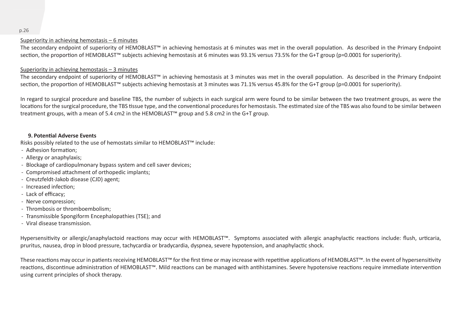#### Superiority in achieving hemostasis – 6 minutes

The secondary endpoint of superiority of HEMOBLAST™ in achieving hemostasis at 6 minutes was met in the overall population. As described in the Primary Endpoint section, the proportion of HEMOBLAST™ subjects achieving hemostasis at 6 minutes was 93.1% versus 73.5% for the G+T group (p=0.0001 for superiority).

#### Superiority in achieving hemostasis – 3 minutes

The secondary endpoint of superiority of HEMOBLAST™ in achieving hemostasis at 3 minutes was met in the overall population. As described in the Primary Endpoint section, the proportion of HEMOBLAST™ subjects achieving hemostasis at 3 minutes was 71.1% versus 45.8% for the G+T group (p=0.0001 for superiority).

In regard to surgical procedure and baseline TBS, the number of subjects in each surgical arm were found to be similar between the two treatment groups, as were the locations for the surgical procedure, the TBS tissue type, and the conventional procedures for hemostasis. The estimated size of the TBS was also found to be similar between treatment groups, with a mean of 5.4 cm2 in the HEMOBLAST™ group and 5.8 cm2 in the G+T group.

#### **9. Potential Adverse Events**

Risks possibly related to the use of hemostats similar to HEMOBLAST™ include:

- Adhesion formation:
- Allergy or anaphylaxis;
- Blockage of cardiopulmonary bypass system and cell saver devices;
- Compromised attachment of orthopedic implants;
- ̵ Creutzfeldt-Jakob disease (CJD) agent;
- Increased infection:
- Lack of efficacy:
- Nerve compression;
- Thrombosis or thromboembolism;
- Transmissible Spongiform Encephalopathies (TSE); and
- ̵ Viral disease transmission.

Hypersensitivity or allergic/anaphylactoid reactions may occur with HEMOBLAST™. Symptoms associated with allergic anaphylactic reactions include: flush, urticaria, pruritus, nausea, drop in blood pressure, tachycardia or bradycardia, dyspnea, severe hypotension, and anaphylactic shock.

These reactions may occur in patients receiving HEMOBLAST™ for the first time or may increase with repetitive applications of HEMOBLAST™. In the event of hypersensitivity reactions, discontinue administration of HEMOBLAST™. Mild reactions can be managed with antihistamines. Severe hypotensive reactions require immediate intervention using current principles of shock therapy.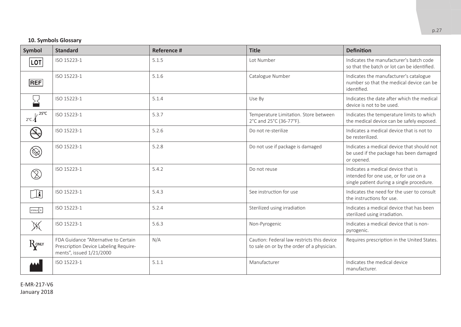#### **10. Symbols Glossary**

| Symbol                                                                                     | <b>Standard</b>                                                                                           | <b>Reference #</b> | <b>Title</b>                                                                             | <b>Definition</b>                                                                                                        |
|--------------------------------------------------------------------------------------------|-----------------------------------------------------------------------------------------------------------|--------------------|------------------------------------------------------------------------------------------|--------------------------------------------------------------------------------------------------------------------------|
| LOT                                                                                        | ISO 15223-1                                                                                               | 5.1.5              | <b>Lot Number</b>                                                                        | Indicates the manufacturer's batch code<br>so that the batch or lot can be identified.                                   |
| <b>REF</b>                                                                                 | ISO 15223-1                                                                                               | 5.1.6              | Catalogue Number                                                                         | Indicates the manufacturer's catalogue<br>number so that the medical device can be<br>identified.                        |
|                                                                                            | ISO 15223-1                                                                                               | 5.1.4              | Use By                                                                                   | Indicates the date after which the medical<br>device is not to be used.                                                  |
| $\mathbb{R}$ -25°C<br>$2^{\circ}$ C $\Lambda$                                              | ISO 15223-1                                                                                               | 5.3.7              | Temperature Limitation. Store between<br>2°C and 25°C (36-77°F).                         | Indicates the temperature limits to which<br>the medical device can be safely exposed.                                   |
| $\left(\sum_{\text{step}}$                                                                 | ISO 15223-1                                                                                               | 5.2.6              | Do not re-sterilize                                                                      | Indicates a medical device that is not to<br>be resterilized.                                                            |
| $\otimes$                                                                                  | ISO 15223-1                                                                                               | 5.2.8              | Do not use if package is damaged                                                         | Indicates a medical device that should not<br>be used if the package has been damaged<br>or opened.                      |
|                                                                                            | ISO 15223-1                                                                                               | 5.4.2              | Do not reuse                                                                             | Indicates a medical device that is<br>intended for one use, or for use on a<br>single patient during a single procedure. |
| $\mathbb{H}$                                                                               | ISO 15223-1                                                                                               | 5.4.3              | See instruction for use                                                                  | Indicates the need for the user to consult<br>the instructions for use.                                                  |
| $\begin{tabular}{ c c c c c } \hline \texttt{STERILE} & \texttt{R} \\\hline \end{tabular}$ | ISO 15223-1                                                                                               | 5.2.4              | Sterilized using irradiation                                                             | Indicates a medical device that has been<br>sterilized using irradiation.                                                |
| $\mathbb X$                                                                                | ISO 15223-1                                                                                               | 5.6.3              | Non-Pyrogenic                                                                            | Indicates a medical device that is non-<br>pyrogenic.                                                                    |
| RONLY                                                                                      | FDA Guidance "Alternative to Certain<br>Prescription Device Labeling Require-<br>ments", issued 1/21/2000 | N/A                | Caution: Federal law restricts this device<br>to sale on or by the order of a physician. | Requires prescription in the United States.                                                                              |
|                                                                                            | ISO 15223-1                                                                                               | 5.1.1              | Manufacturer                                                                             | Indicates the medical device<br>manufacturer.                                                                            |

E-MR-217-V6 January 2018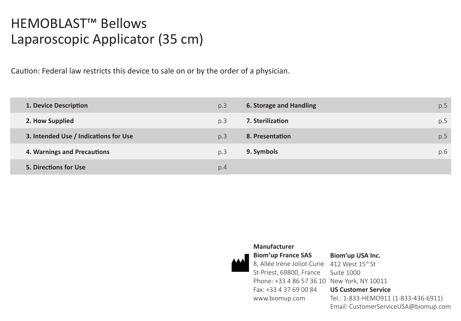# HEMOBLAST™ Bellows Laparoscopic Applicator (35 cm)

Caution: Federal law restricts this device to sale on or by the order of a physician.

| 1. Device Description                 | p.3            | 6. Storage and Handling | p.5 |
|---------------------------------------|----------------|-------------------------|-----|
| 2. How Supplied                       | p.3            | 7. Sterilization        | p.5 |
| 3. Intended Use / Indications for Use | p <sub>3</sub> | 8. Presentation         | p.5 |
| 4. Warnings and Precautions           | p.3            | 9. Symbols              | p.6 |
| 5. Directions for Use                 | p.4            |                         |     |



#### **Manufacturer**

### **Biom'up USA Inc.**

8, Allée Irène Joliot-Curie 412 West 15<sup>th</sup> St St-Priest, 69800, France Phone: +33 4 86 57 36 10 New York, NY 10011 Fax: +33 4 37 69 00 84 www.biomup.com

Suite 1000 **US Customer Service** Tel.: 1-833-HEMO911 (1-833-436-6911) Email: CustomerServiceUSA@biomup.com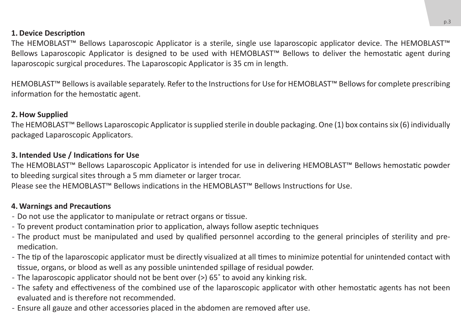### **1. Device Description**

The HEMOBLAST™ Bellows Laparoscopic Applicator is a sterile, single use laparoscopic applicator device. The HEMOBLAST™ Bellows Laparoscopic Applicator is designed to be used with HEMOBLAST™ Bellows to deliver the hemostatic agent during laparoscopic surgical procedures. The Laparoscopic Applicator is 35 cm in length.

HEMOBLAST™ Bellows is available separately. Refer to the Instructions for Use for HEMOBLAST™ Bellows for complete prescribing information for the hemostatic agent.

### **2. How Supplied**

The HEMOBLAST™ Bellows Laparoscopic Applicator is supplied sterile in double packaging. One (1) box contains six (6) individually packaged Laparoscopic Applicators.

### **3. Intended Use / Indications for Use**

The HEMOBLAST™ Bellows Laparoscopic Applicator is intended for use in delivering HEMOBLAST™ Bellows hemostatic powder to bleeding surgical sites through a 5 mm diameter or larger trocar. Please see the HEMOBLAST™ Bellows indications in the HEMOBLAST™ Bellows Instructions for Use.

### **4. Warnings and Precautions**

- Do not use the applicator to manipulate or retract organs or tissue.
- ̵ To prevent product contamination prior to application, always follow aseptic techniques
- The product must be manipulated and used by qualified personnel according to the general principles of sterility and premedication.
- The tip of the laparoscopic applicator must be directly visualized at all times to minimize potential for unintended contact with tissue, organs, or blood as well as any possible unintended spillage of residual powder.
- The laparoscopic applicator should not be bent over (>) 65° to avoid any kinking risk.
- The safety and effectiveness of the combined use of the laparoscopic applicator with other hemostatic agents has not been evaluated and is therefore not recommended.
- Ensure all gauze and other accessories placed in the abdomen are removed after use.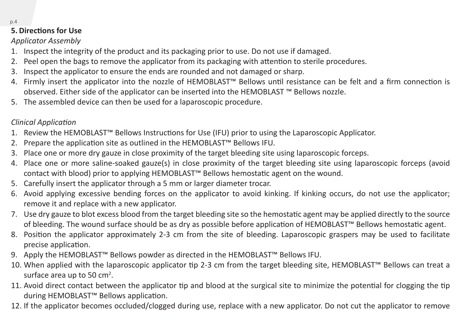### **5. Directions for Use**

### *Applicator Assembly*

- 1. Inspect the integrity of the product and its packaging prior to use. Do not use if damaged.
- 2. Peel open the bags to remove the applicator from its packaging with attention to sterile procedures.
- 3. Inspect the applicator to ensure the ends are rounded and not damaged or sharp.
- 4. Firmly insert the applicator into the nozzle of HEMOBLAST™ Bellows until resistance can be felt and a firm connection is observed. Either side of the applicator can be inserted into the HEMOBLAST ™ Bellows nozzle.
- 5. The assembled device can then be used for a laparoscopic procedure.

### *Clinical Application*

- 1. Review the HEMOBLAST™ Bellows Instructions for Use (IFU) prior to using the Laparoscopic Applicator.
- 2. Prepare the application site as outlined in the HEMOBLAST™ Bellows IFU.
- 3. Place one or more dry gauze in close proximity of the target bleeding site using laparoscopic forceps.
- 4. Place one or more saline-soaked gauze(s) in close proximity of the target bleeding site using laparoscopic forceps (avoid contact with blood) prior to applying HEMOBLAST™ Bellows hemostatic agent on the wound.
- 5. Carefully insert the applicator through a 5 mm or larger diameter trocar.
- 6. Avoid applying excessive bending forces on the applicator to avoid kinking. If kinking occurs, do not use the applicator; remove it and replace with a new applicator.
- 7. Use dry gauze to blot excess blood from the target bleeding site so the hemostatic agent may be applied directly to the source of bleeding. The wound surface should be as dry as possible before application of HEMOBLAST™ Bellows hemostatic agent.
- 8. Position the applicator approximately 2-3 cm from the site of bleeding. Laparoscopic graspers may be used to facilitate precise application.
- 9. Apply the HEMOBLAST™ Bellows powder as directed in the HEMOBLAST™ Bellows IFU.
- 10. When applied with the laparoscopic applicator tip 2-3 cm from the target bleeding site, HEMOBLAST™ Bellows can treat a surface area up to 50  $\text{cm}^2$ .
- 11. Avoid direct contact between the applicator tip and blood at the surgical site to minimize the potential for clogging the tip during HEMOBLAST™ Bellows application.
- 12. If the applicator becomes occluded/clogged during use, replace with a new applicator. Do not cut the applicator to remove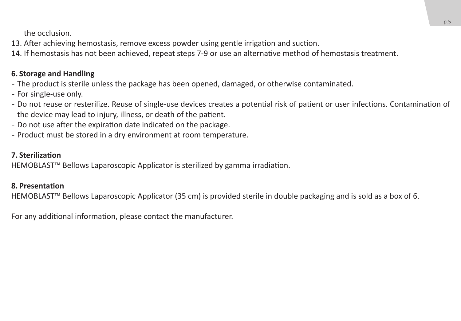the occlusion.

13. After achieving hemostasis, remove excess powder using gentle irrigation and suction.

14. If hemostasis has not been achieved, repeat steps 7-9 or use an alternative method of hemostasis treatment.

### **6. Storage and Handling**

- The product is sterile unless the package has been opened, damaged, or otherwise contaminated.
- For single-use only.
- ̵ Do not reuse or resterilize. Reuse of single-use devices creates a potential risk of patient or user infections. Contamination of the device may lead to injury, illness, or death of the patient.
- Do not use after the expiration date indicated on the package.
- Product must be stored in a dry environment at room temperature.

### **7. Sterilization**

HEMOBLAST™ Bellows Laparoscopic Applicator is sterilized by gamma irradiation.

### **8. Presentation**

HEMOBLAST™ Bellows Laparoscopic Applicator (35 cm) is provided sterile in double packaging and is sold as a box of 6.

For any additional information, please contact the manufacturer.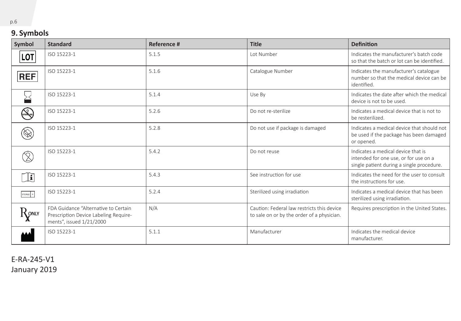### **9. Symbols**

| Symbol                                   | <b>Standard</b>                                                                                           | Reference # | <b>Title</b>                                                                             | <b>Definition</b>                                                                                                        |
|------------------------------------------|-----------------------------------------------------------------------------------------------------------|-------------|------------------------------------------------------------------------------------------|--------------------------------------------------------------------------------------------------------------------------|
| <b>LOT</b>                               | ISO 15223-1                                                                                               | 5.1.5       | Lot Number                                                                               | Indicates the manufacturer's batch code<br>so that the batch or lot can be identified.                                   |
| <b>REF</b>                               | ISO 15223-1                                                                                               | 5.1.6       | Catalogue Number                                                                         | Indicates the manufacturer's catalogue<br>number so that the medical device can be<br>identified.                        |
|                                          | ISO 15223-1                                                                                               | 5.1.4       | Use Bv                                                                                   | Indicates the date after which the medical<br>device is not to be used.                                                  |
| <b>STERNZE</b>                           | ISO 15223-1                                                                                               | 5.2.6       | Do not re-sterilize                                                                      | Indicates a medical device that is not to<br>be resterilized.                                                            |
| $\otimes$                                | ISO 15223-1                                                                                               | 5.2.8       | Do not use if package is damaged                                                         | Indicates a medical device that should not<br>be used if the package has been damaged<br>or opened.                      |
|                                          | ISO 15223-1                                                                                               | 5.4.2       | Do not reuse                                                                             | Indicates a medical device that is<br>intended for one use, or for use on a<br>single patient during a single procedure. |
| $\mathbf{r}$                             | ISO 15223-1                                                                                               | 5.4.3       | See instruction for use                                                                  | Indicates the need for the user to consult<br>the instructions for use.                                                  |
| STERILE R                                | ISO 15223-1                                                                                               | 5.2.4       | Sterilized using irradiation                                                             | Indicates a medical device that has been<br>sterilized using irradiation.                                                |
| $\operatorname{R}^{\operatorname{onry}}$ | FDA Guidance "Alternative to Certain<br>Prescription Device Labeling Require-<br>ments", issued 1/21/2000 | N/A         | Caution: Federal law restricts this device<br>to sale on or by the order of a physician. | Requires prescription in the United States.                                                                              |
|                                          | ISO 15223-1                                                                                               | 5.1.1       | Manufacturer                                                                             | Indicates the medical device<br>manufacturer.                                                                            |

E-RA-245-V1 January 2019